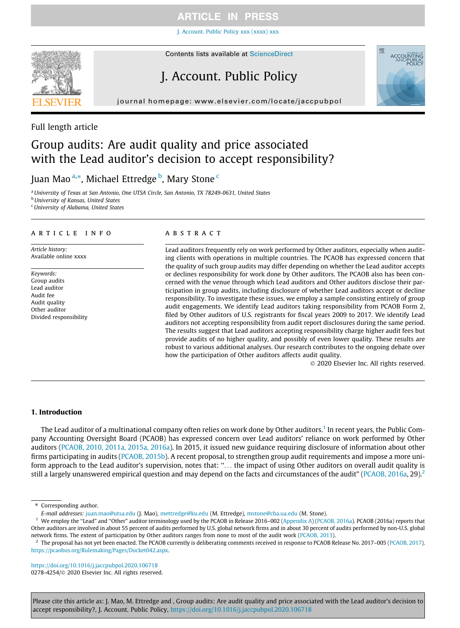[J. Account. Public Policy xxx \(xxxx\) xxx](https://doi.org/10.1016/j.jaccpubpol.2020.106718)

<span id="page-0-0"></span>

# J. Account. Public Policy



journal homepage: [www.elsevier.com/locate/jaccpubpol](http://www.elsevier.com/locate/jaccpubpol)

## Full length article

# Group audits: Are audit quality and price associated with the Lead auditor's decision to accept responsibility?

Juan Mao ª,\*, Michael Ettredge <sup>b</sup>, Mary Stone <sup>c</sup>

a University of Texas at San Antonio, One UTSA Circle, San Antonio, TX 78249-0631, United States

**b** University of Kansas, United States

<sup>c</sup>University of Alabama, United States

#### article info

Article history: Available online xxxx

Keywords: Group audits Lead auditor Audit fee Audit quality Other auditor Divided responsibility

#### **ABSTRACT**

Lead auditors frequently rely on work performed by Other auditors, especially when auditing clients with operations in multiple countries. The PCAOB has expressed concern that the quality of such group audits may differ depending on whether the Lead auditor accepts or declines responsibility for work done by Other auditors. The PCAOB also has been concerned with the venue through which Lead auditors and Other auditors disclose their participation in group audits, including disclosure of whether Lead auditors accept or decline responsibility. To investigate these issues, we employ a sample consisting entirely of group audit engagements. We identify Lead auditors taking responsibility from PCAOB Form 2, filed by Other auditors of U.S. registrants for fiscal years 2009 to 2017. We identify Lead auditors not accepting responsibility from audit report disclosures during the same period. The results suggest that Lead auditors accepting responsibility charge higher audit fees but provide audits of no higher quality, and possibly of even lower quality. These results are robust to various additional analyses. Our research contributes to the ongoing debate over how the participation of Other auditors affects audit quality.

2020 Elsevier Inc. All rights reserved.

#### 1. Introduction

The Lead auditor of a multinational company often relies on work done by Other auditors.<sup>1</sup> In recent years, the Public Company Accounting Oversight Board (PCAOB) has expressed concern over Lead auditors' reliance on work performed by Other auditors ([PCAOB, 2010, 2011a, 2015a, 2016a](#page-23-0)). In 2015, it issued new guidance requiring disclosure of information about other firms participating in audits [\(PCAOB, 2015b](#page-24-0)). A recent proposal, to strengthen group audit requirements and impose a more uniform approach to the Lead auditor's supervision, notes that: "... the impact of using Other auditors on overall audit quality is still a largely unanswered empirical question and may depend on the facts and circumstances of the audit" [\(PCAOB, 2016a,](#page-24-0) 29).<sup>2</sup>

\* Corresponding author.

<https://doi.org/10.1016/j.jaccpubpol.2020.106718> 0278-4254/ 2020 Elsevier Inc. All rights reserved.

E-mail addresses: [juan.mao@utsa.edu](mailto:juan.mao@utsa.edu) (J. Mao), [mettredge@ku.edu](mailto:mettredge@ku.edu) (M. Ettredge), [mstone@cba.ua.edu](mailto:mstone@cba.ua.edu) (M. Stone).

<sup>&</sup>lt;sup>1</sup> We employ the "Lead" and "Other" auditor terminology used by the PCAOB in Release 2016-002 [\(Appendix A](#page-21-0)) ([PCAOB, 2016a\)](#page-24-0). PCAOB (2016a) reports that Other auditors are involved in about 55 percent of audits performed by U.S. global network firms and in about 30 percent of audits performed by non-U.S. global network firms. The extent of participation by Other auditors ranges from none to most of the audit work [\(PCAOB, 2013\)](#page-24-0).

<sup>&</sup>lt;sup>2</sup> The proposal has not yet been enacted. The PCAOB currently is deliberating comments received in response to PCAOB Release No. 2017-005 [\(PCAOB, 2017](#page-24-0)). <https://pcaobus.org/Rulemaking/Pages/Docket042.aspx>.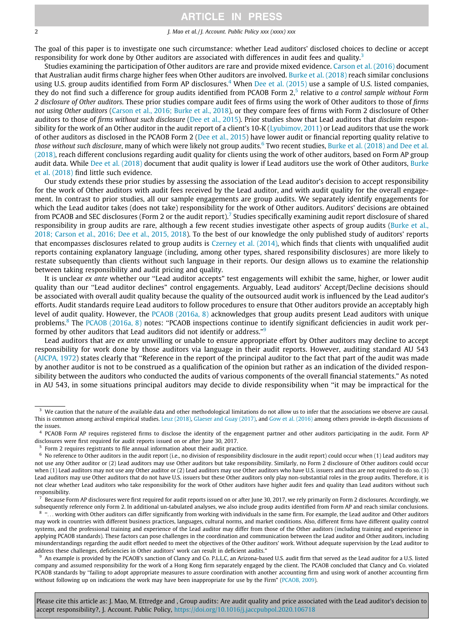#### 2 J. Mao et al. / J. Account. Public Policy xxx (xxxx) xxx

The goal of this paper is to investigate one such circumstance: whether Lead auditors' disclosed choices to decline or accept responsibility for work done by Other auditors are associated with differences in audit fees and quality.<sup>3</sup>

Studies examining the participation of Other auditors are rare and provide mixed evidence. [Carson et al. \(2016\)](#page-23-0) document that Australian audit firms charge higher fees when Other auditors are involved. [Burke et al. \(2018\)](#page-23-0) reach similar conclusions using U.S. group audits identified from Form AP disclosures.<sup>4</sup> When [Dee et al. \(2015\)](#page-23-0) use a sample of U.S. listed companies, they do not find such a difference for group audits identified from PCAOB Form  $2<sup>5</sup>$  relative to a control sample without Form 2 disclosure of Other auditors. These prior studies compare audit fees of firms using the work of Other auditors to those of firms not using Other auditors ([Carson et al., 2016; Burke et al., 2018\)](#page-23-0), or they compare fees of firms with Form 2 disclosure of Other auditors to those of firms without such disclosure ([Dee et al., 2015](#page-23-0)). Prior studies show that Lead auditors that disclaim respon-sibility for the work of an Other auditor in the audit report of a client's 10-K ([Lyubimov, 2011](#page-23-0)) or Lead auditors that use the work of other auditors as disclosed in the PCAOB Form 2 [\(Dee et al., 2015](#page-23-0)) have lower audit or financial reporting quality relative to those without such disclosure, many of which were likely not group audits.<sup>6</sup> Two recent studies, [Burke et al. \(2018\) and Dee et al.](#page-23-0) [\(2018\)](#page-23-0), reach different conclusions regarding audit quality for clients using the work of other auditors, based on Form AP group audit data. While [Dee et al. \(2018\)](#page-23-0) document that audit quality is lower if Lead auditors use the work of Other auditors, [Burke](#page-23-0) [et al. \(2018\)](#page-23-0) find little such evidence.

Our study extends these prior studies by assessing the association of the Lead auditor's decision to accept responsibility for the work of Other auditors with audit fees received by the Lead auditor, and with audit quality for the overall engagement. In contrast to prior studies, all our sample engagements are group audits. We separately identify engagements for which the Lead auditor takes (does not take) responsibility for the work of Other auditors. Auditors' decisions are obtained from PCAOB and SEC disclosures (Form 2 or the audit report).<sup>7</sup> Studies specifically examining audit report disclosure of shared responsibility in group audits are rare, although a few recent studies investigate other aspects of group audits ([Burke et al.,](#page-23-0) [2018; Carson et al., 2016; Dee et al., 2015, 2018\)](#page-23-0). To the best of our knowledge the only published study of auditors' reports that encompasses disclosures related to group audits is [Czerney et al. \(2014\)](#page-23-0), which finds that clients with unqualified audit reports containing explanatory language (including, among other types, shared responsibility disclosures) are more likely to restate subsequently than clients without such language in their reports. Our design allows us to examine the relationship between taking responsibility and audit pricing and quality.

It is unclear ex ante whether our ''Lead auditor accepts" test engagements will exhibit the same, higher, or lower audit quality than our ''Lead auditor declines" control engagements. Arguably, Lead auditors' Accept/Decline decisions should be associated with overall audit quality because the quality of the outsourced audit work is influenced by the Lead auditor's efforts. Audit standards require Lead auditors to follow procedures to ensure that Other auditors provide an acceptably high level of audit quality. However, the [PCAOB \(2016a, 8\)](#page-24-0) acknowledges that group audits present Lead auditors with unique problems.<sup>8</sup> The [PCAOB \(2016a, 8\)](#page-24-0) notes: "PCAOB inspections continue to identify significant deficiencies in audit work performed by other auditors that Lead auditors did not identify or address."9

Lead auditors that are ex ante unwilling or unable to ensure appropriate effort by Other auditors may decline to accept responsibility for work done by those auditors via language in their audit reports. However, auditing standard AU 543 [\(AICPA, 1972](#page-23-0)) states clearly that ''Reference in the report of the principal auditor to the fact that part of the audit was made by another auditor is not to be construed as a qualification of the opinion but rather as an indication of the divided responsibility between the auditors who conducted the audits of various components of the overall financial statements." As noted in AU 543, in some situations principal auditors may decide to divide responsibility when ''it may be impractical for the

Because Form AP disclosures were first required for audit reports issued on or after June 30, 2017, we rely primarily on Form 2 disclosures. Accordingly, we subsequently reference only Form 2. In additional un-tabulated analyses, we also include group audits identified from Form AP and reach similar conclusions.

8 "... working with Other auditors can differ significantly from working with individuals in the same firm. For example, the Lead auditor and Other auditors may work in countries with different business practices, languages, cultural norms, and market conditions. Also, different firms have different quality control systems, and the professional training and experience of the Lead auditor may differ from those of the Other auditors (including training and experience in applying PCAOB standards). These factors can pose challenges in the coordination and communication between the Lead auditor and Other auditors, including misunderstandings regarding the audit effort needed to meet the objectives of the Other auditors' work. Without adequate supervision by the Lead auditor to address these challenges, deficiencies in Other auditors' work can result in deficient audits."

<sup>9</sup> An example is provided by the PCAOB's sanction of Clancy and Co. P.L.L.C, an Arizona-based U.S. audit firm that served as the Lead auditor for a U.S. listed company and assumed responsibility for the work of a Hong Kong firm separately engaged by the client. The PCAOB concluded that Clancy and Co. violated PCAOB standards by "failing to adopt appropriate measures to assure coordination with another accounting firm and using work of another accounting firm without following up on indications the work may have been inappropriate for use by the Firm" ([PCAOB, 2009](#page-23-0)).

<sup>&</sup>lt;sup>3</sup> We caution that the nature of the available data and other methodological limitations do not allow us to infer that the associations we observe are causal. This is common among archival empirical studies. [Leuz \(2018\)](#page-23-0), [Glaeser and Guay \(2017\),](#page-23-0) and [Gow et al. \(2016\)](#page-23-0) among others provide in-depth discussions of the issues.

<sup>&</sup>lt;sup>4</sup> PCAOB Form AP requires registered firms to disclose the identity of the engagement partner and other auditors participating in the audit. Form AP disclosures were first required for audit reports issued on or after June 30, 2017.

<sup>5</sup> Form 2 requires registrants to file annual information about their audit practice.

 $6\,$  No reference to Other auditors in the audit report (i.e., no division of responsibility disclosure in the audit report) could occur when (1) Lead auditors may not use any Other auditor or (2) Lead auditors may use Other auditors but take responsibility. Similarly, no Form 2 disclosure of Other auditors could occur when (1) Lead auditors may not use any Other auditor or (2) Lead auditors may use Other auditors who have U.S. issuers and thus are not required to do so. (3) Lead auditors may use Other auditors that do not have U.S. issuers but these Other auditors only play non-substantial roles in the group audits. Therefore, it is not clear whether Lead auditors who take responsibility for the work of Other auditors have higher audit fees and quality than Lead auditors without such responsibility.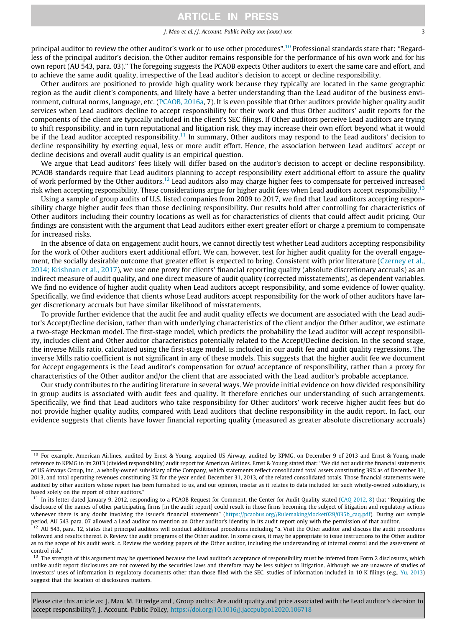#### J. Mao et al. / J. Account. Public Policy xxx (xxxx) xxx 3

<span id="page-2-0"></span>principal auditor to review the other auditor's work or to use other procedures".<sup>10</sup> Professional standards state that: "Regardless of the principal auditor's decision, the Other auditor remains responsible for the performance of his own work and for his own report (AU 543, para. 03)." The foregoing suggests the PCAOB expects Other auditors to exert the same care and effort, and to achieve the same audit quality, irrespective of the Lead auditor's decision to accept or decline responsibility.

Other auditors are positioned to provide high quality work because they typically are located in the same geographic region as the audit client's components, and likely have a better understanding than the Lead auditor of the business environment, cultural norms, language, etc. [\(PCAOB, 2016a](#page-24-0), 7). It is even possible that Other auditors provide higher quality audit services when Lead auditors decline to accept responsibility for their work and thus Other auditors' audit reports for the components of the client are typically included in the client's SEC filings. If Other auditors perceive Lead auditors are trying to shift responsibility, and in turn reputational and litigation risk, they may increase their own effort beyond what it would be if the Lead auditor accepted responsibility.<sup>11</sup> In summary, Other auditors may respond to the Lead auditors' decision to decline responsibility by exerting equal, less or more audit effort. Hence, the association between Lead auditors' accept or decline decisions and overall audit quality is an empirical question.

We argue that Lead auditors' fees likely will differ based on the auditor's decision to accept or decline responsibility. PCAOB standards require that Lead auditors planning to accept responsibility exert additional effort to assure the quality of work performed by the Other auditors.12 Lead auditors also may charge higher fees to compensate for perceived increased risk when accepting responsibility. These considerations argue for higher audit fees when Lead auditors accept responsibility.<sup>13</sup>

Using a sample of group audits of U.S. listed companies from 2009 to 2017, we find that Lead auditors accepting responsibility charge higher audit fees than those declining responsibility. Our results hold after controlling for characteristics of Other auditors including their country locations as well as for characteristics of clients that could affect audit pricing. Our findings are consistent with the argument that Lead auditors either exert greater effort or charge a premium to compensate for increased risks.

In the absence of data on engagement audit hours, we cannot directly test whether Lead auditors accepting responsibility for the work of Other auditors exert additional effort. We can, however, test for higher audit quality for the overall engagement, the socially desirable outcome that greater effort is expected to bring. Consistent with prior literature [\(Czerney et al.,](#page-23-0) [2014; Krishnan et al., 2017\)](#page-23-0), we use one proxy for clients' financial reporting quality (absolute discretionary accruals) as an indirect measure of audit quality, and one direct measure of audit quality (corrected misstatements), as dependent variables. We find no evidence of higher audit quality when Lead auditors accept responsibility, and some evidence of lower quality. Specifically, we find evidence that clients whose Lead auditors accept responsibility for the work of other auditors have larger discretionary accruals but have similar likelihood of misstatements.

To provide further evidence that the audit fee and audit quality effects we document are associated with the Lead auditor's Accept/Decline decision, rather than with underlying characteristics of the client and/or the Other auditor, we estimate a two-stage Heckman model. The first-stage model, which predicts the probability the Lead auditor will accept responsibility, includes client and Other auditor characteristics potentially related to the Accept/Decline decision. In the second stage, the inverse Mills ratio, calculated using the first-stage model, is included in our audit fee and audit quality regressions. The inverse Mills ratio coefficient is not significant in any of these models. This suggests that the higher audit fee we document for Accept engagements is the Lead auditor's compensation for actual acceptance of responsibility, rather than a proxy for characteristics of the Other auditor and/or the client that are associated with the Lead auditor's probable acceptance.

Our study contributes to the auditing literature in several ways. We provide initial evidence on how divided responsibility in group audits is associated with audit fees and quality. It therefore enriches our understanding of such arrangements. Specifically, we find that Lead auditors who take responsibility for Other auditors' work receive higher audit fees but do not provide higher quality audits, compared with Lead auditors that decline responsibility in the audit report. In fact, our evidence suggests that clients have lower financial reporting quality (measured as greater absolute discretionary accruals)

<sup>&</sup>lt;sup>10</sup> For example, American Airlines, audited by Ernst & Young, acquired US Airway, audited by KPMG, on December 9 of 2013 and Ernst & Young made reference to KPMG in its 2013 (divided responsibility) audit report for American Airlines. Ernst & Young stated that: ''We did not audit the financial statements of US Airways Group, Inc., a wholly-owned subsidiary of the Company, which statements reflect consolidated total assets constituting 39% as of December 31, 2013, and total operating revenues constituting 3% for the year ended December 31, 2013, of the related consolidated totals. Those financial statements were audited by other auditors whose report has been furnished to us, and our opinion, insofar as it relates to data included for such wholly-owned subsidiary, is based solely on the report of other auditors."

<sup>&</sup>lt;sup>11</sup> In its letter dated January 9, 2012, responding to a PCAOB Request for Comment, the Center for Audit Quality stated ([CAQ 2012, 8\)](#page-23-0) that "Requiring the disclosure of the names of other participating firms [in the audit report] could result in those firms becoming the subject of litigation and regulatory actions whenever there is any doubt involving the issuer's financial statements" ([https://pcaobus.org//Rulemaking/docket029/035b\\_caq.pdf\)](https://pcaobus.org//Rulemaking/docket029/035b_caq.pdf). During our sample period, AU 543 para. 07 allowed a Lead auditor to mention an Other auditor's identity in its audit report only with the permission of that auditor.

 $12$  AU 543, para. 12, states that principal auditors will conduct additional procedures including "a. Visit the Other auditor and discuss the audit procedures followed and results thereof. b. Review the audit programs of the Other auditor. In some cases, it may be appropriate to issue instructions to the Other auditor as to the scope of his audit work. c. Review the working papers of the Other auditor, including the understanding of internal control and the assessment of control risk."

<sup>&</sup>lt;sup>13</sup> The strength of this argument may be questioned because the Lead auditor's acceptance of responsibility must be inferred from Form 2 disclosures, which unlike audit report disclosures are not covered by the securities laws and therefore may be less subject to litigation. Although we are unaware of studies of investors' uses of information in regulatory documents other than those filed with the SEC, studies of information included in 10-K filings (e.g., [Yu, 2013\)](#page-24-0) suggest that the location of disclosures matters.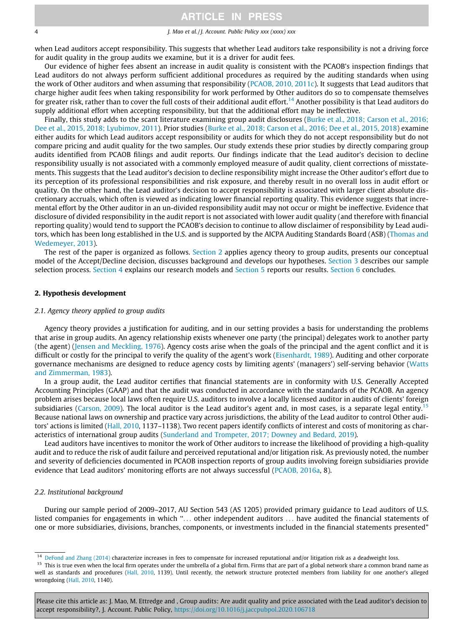#### <span id="page-3-0"></span>4 J. Mao et al. / J. Account. Public Policy xxx (xxxx) xxx

when Lead auditors accept responsibility. This suggests that whether Lead auditors take responsibility is not a driving force for audit quality in the group audits we examine, but it is a driver for audit fees.

Our evidence of higher fees absent an increase in audit quality is consistent with the PCAOB's inspection findings that Lead auditors do not always perform sufficient additional procedures as required by the auditing standards when using the work of Other auditors and when assuming that responsibility [\(PCAOB, 2010, 2011c\)](#page-23-0). It suggests that Lead auditors that charge higher audit fees when taking responsibility for work performed by Other auditors do so to compensate themselves for greater risk, rather than to cover the full costs of their additional audit effort.<sup>14</sup> Another possibility is that Lead auditors do supply additional effort when accepting responsibility, but that the additional effort may be ineffective.

Finally, this study adds to the scant literature examining group audit disclosures [\(Burke et al., 2018; Carson et al., 2016;](#page-23-0) [Dee et al., 2015, 2018; Lyubimov, 2011\)](#page-23-0). Prior studies [\(Burke et al., 2018; Carson et al., 2016; Dee et al., 2015, 2018](#page-23-0)) examine either audits for which Lead auditors accept responsibility or audits for which they do not accept responsibility but do not compare pricing and audit quality for the two samples. Our study extends these prior studies by directly comparing group audits identified from PCAOB filings and audit reports. Our findings indicate that the Lead auditor's decision to decline responsibility usually is not associated with a commonly employed measure of audit quality, client corrections of misstatements. This suggests that the Lead auditor's decision to decline responsibility might increase the Other auditor's effort due to its perception of its professional responsibilities and risk exposure, and thereby result in no overall loss in audit effort or quality. On the other hand, the Lead auditor's decision to accept responsibility is associated with larger client absolute discretionary accruals, which often is viewed as indicating lower financial reporting quality. This evidence suggests that incremental effort by the Other auditor in an un-divided responsibility audit may not occur or might be ineffective. Evidence that disclosure of divided responsibility in the audit report is not associated with lower audit quality (and therefore with financial reporting quality) would tend to support the PCAOB's decision to continue to allow disclaimer of responsibility by Lead auditors, which has been long established in the U.S. and is supported by the AICPA Auditing Standards Board (ASB) ([Thomas and](#page-24-0) [Wedemeyer, 2013](#page-24-0)).

The rest of the paper is organized as follows. Section 2 applies agency theory to group audits, presents our conceptual model of the Accept/Decline decision, discusses background and develops our hypotheses. [Section 3](#page-6-0) describes our sample selection process. [Section 4](#page-10-0) explains our research models and [Section 5](#page-11-0) reports our results. [Section 6](#page-20-0) concludes.

#### 2. Hypothesis development

## 2.1. Agency theory applied to group audits

Agency theory provides a justification for auditing, and in our setting provides a basis for understanding the problems that arise in group audits. An agency relationship exists whenever one party (the principal) delegates work to another party (the agent) ([Jensen and Meckling, 1976](#page-23-0)). Agency costs arise when the goals of the principal and the agent conflict and it is difficult or costly for the principal to verify the quality of the agent's work ([Eisenhardt, 1989](#page-23-0)). Auditing and other corporate governance mechanisms are designed to reduce agency costs by limiting agents' (managers') self-serving behavior ([Watts](#page-24-0) [and Zimmerman, 1983\)](#page-24-0).

In a group audit, the Lead auditor certifies that financial statements are in conformity with U.S. Generally Accepted Accounting Principles (GAAP) and that the audit was conducted in accordance with the standards of the PCAOB. An agency problem arises because local laws often require U.S. auditors to involve a locally licensed auditor in audits of clients' foreign subsidiaries [\(Carson, 2009](#page-23-0)). The local auditor is the Lead auditor's agent and, in most cases, is a separate legal entity.<sup>15</sup> Because national laws on ownership and practice vary across jurisdictions, the ability of the Lead auditor to control Other auditors' actions is limited [\(Hall, 2010](#page-23-0), 1137–1138). Two recent papers identify conflicts of interest and costs of monitoring as characteristics of international group audits [\(Sunderland and Trompeter, 2017; Downey and Bedard, 2019](#page-24-0)).

Lead auditors have incentives to monitor the work of Other auditors to increase the likelihood of providing a high-quality audit and to reduce the risk of audit failure and perceived reputational and/or litigation risk. As previously noted, the number and severity of deficiencies documented in PCAOB inspection reports of group audits involving foreign subsidiaries provide evidence that Lead auditors' monitoring efforts are not always successful [\(PCAOB, 2016a,](#page-24-0) 8).

#### 2.2. Institutional background

During our sample period of 2009–2017, AU Section 543 (AS 1205) provided primary guidance to Lead auditors of U.S. listed companies for engagements in which "... other independent auditors ... have audited the financial statements of one or more subsidiaries, divisions, branches, components, or investments included in the financial statements presented"

<sup>15</sup> This is true even when the local firm operates under the umbrella of a global firm. Firms that are part of a global network share a common brand name as well as standards and procedures ([Hall, 2010,](#page-23-0) 1139). Until recently, the network structure protected members from liability for one another's alleged wrongdoing [\(Hall, 2010,](#page-23-0) 1140).

[DeFond and Zhang \(2014\)](#page-23-0) characterize increases in fees to compensate for increased reputational and/or litigation risk as a deadweight loss.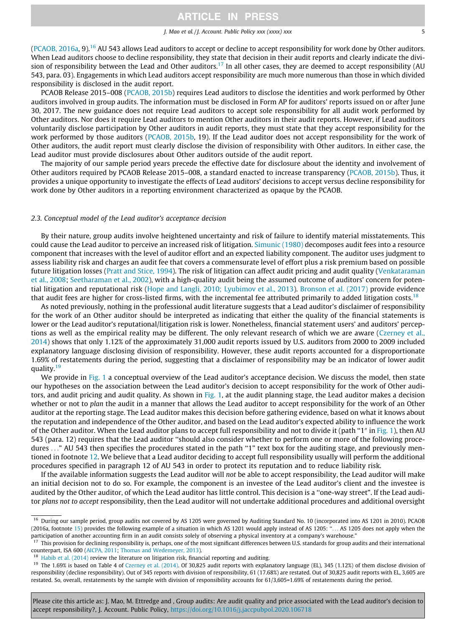#### J. Mao et al. / J. Account. Public Policy xxx (xxxx) xxx 5

([PCAOB, 2016a,](#page-24-0) 9).<sup>16</sup> AU 543 allows Lead auditors to accept or decline to accept responsibility for work done by Other auditors. When Lead auditors choose to decline responsibility, they state that decision in their audit reports and clearly indicate the division of responsibility between the Lead and Other auditors.<sup>17</sup> In all other cases, they are deemed to accept responsibility (AU 543, para. 03). Engagements in which Lead auditors accept responsibility are much more numerous than those in which divided responsibility is disclosed in the audit report.

PCAOB Release 2015–008 [\(PCAOB, 2015b\)](#page-24-0) requires Lead auditors to disclose the identities and work performed by Other auditors involved in group audits. The information must be disclosed in Form AP for auditors' reports issued on or after June 30, 2017. The new guidance does not require Lead auditors to accept sole responsibility for all audit work performed by Other auditors. Nor does it require Lead auditors to mention Other auditors in their audit reports. However, if Lead auditors voluntarily disclose participation by Other auditors in audit reports, they must state that they accept responsibility for the work performed by those auditors [\(PCAOB, 2015b](#page-24-0), 19). If the Lead auditor does not accept responsibility for the work of Other auditors, the audit report must clearly disclose the division of responsibility with Other auditors. In either case, the Lead auditor must provide disclosures about Other auditors outside of the audit report.

The majority of our sample period years precede the effective date for disclosure about the identity and involvement of Other auditors required by PCAOB Release 2015–008, a standard enacted to increase transparency [\(PCAOB, 2015b\)](#page-24-0). Thus, it provides a unique opportunity to investigate the effects of Lead auditors' decisions to accept versus decline responsibility for work done by Other auditors in a reporting environment characterized as opaque by the PCAOB.

#### 2.3. Conceptual model of the Lead auditor's acceptance decision

By their nature, group audits involve heightened uncertainty and risk of failure to identify material misstatements. This could cause the Lead auditor to perceive an increased risk of litigation. [Simunic \(1980\)](#page-24-0) decomposes audit fees into a resource component that increases with the level of auditor effort and an expected liability component. The auditor uses judgment to assess liability risk and charges an audit fee that covers a commensurate level of effort plus a risk premium based on possible future litigation losses [\(Pratt and Stice, 1994](#page-23-0)). The risk of litigation can affect audit pricing and audit quality [\(Venkataraman](#page-24-0) [et al., 2008](#page-24-0); [Seetharaman et al., 2002](#page-24-0)), with a high-quality audit being the assumed outcome of auditors' concern for potential litigation and reputational risk [\(Hope and Langli, 2010; Lyubimov et al., 2013\)](#page-23-0). [Bronson et al. \(2017\)](#page-23-0) provide evidence that audit fees are higher for cross-listed firms, with the incremental fee attributed primarily to added litigation costs.<sup>18</sup>

As noted previously, nothing in the professional audit literature suggests that a Lead auditor's disclaimer of responsibility for the work of an Other auditor should be interpreted as indicating that either the quality of the financial statements is lower or the Lead auditor's reputational/litigation risk is lower. Nonetheless, financial statement users' and auditors' perceptions as well as the empirical reality may be different. The only relevant research of which we are aware [\(Czerney et al.,](#page-23-0) [2014\)](#page-23-0) shows that only 1.12% of the approximately 31,000 audit reports issued by U.S. auditors from 2000 to 2009 included explanatory language disclosing division of responsibility. However, these audit reports accounted for a disproportionate 1.69% of restatements during the period, suggesting that a disclaimer of responsibility may be an indicator of lower audit quality.<sup>19</sup>

We provide in [Fig. 1](#page-5-0) a conceptual overview of the Lead auditor's acceptance decision. We discuss the model, then state our hypotheses on the association between the Lead auditor's decision to accept responsibility for the work of Other auditors, and audit pricing and audit quality. As shown in [Fig. 1,](#page-5-0) at the audit planning stage, the Lead auditor makes a decision whether or not to *plan* the audit in a manner that allows the Lead auditor to accept responsibility for the work of an Other auditor at the reporting stage. The Lead auditor makes this decision before gathering evidence, based on what it knows about the reputation and independence of the Other auditor, and based on the Lead auditor's expected ability to influence the work of the Other auditor. When the Lead auditor plans to accept full responsibility and not to divide it (path "1" in [Fig. 1](#page-5-0)), then AU 543 (para. 12) requires that the Lead auditor ''should also consider whether to perform one or more of the following procedures ..." AU 543 then specifies the procedures stated in the path "1" text box for the auditing stage, and previously mentioned in footnote [12.](#page-2-0) We believe that a Lead auditor deciding to accept full responsibility usually will perform the additional procedures specified in paragraph 12 of AU 543 in order to protect its reputation and to reduce liability risk.

If the available information suggests the Lead auditor will not be able to accept responsibility, the Lead auditor will make an initial decision not to do so. For example, the component is an investee of the Lead auditor's client and the investee is audited by the Other auditor, of which the Lead auditor has little control. This decision is a ''one-way street". If the Lead auditor plans not to accept responsibility, then the Lead auditor will not undertake additional procedures and additional oversight

<sup>&</sup>lt;sup>16</sup> During our sample period, group audits not covered by AS 1205 were governed by Auditing Standard No. 10 (incorporated into AS 1201 in 2010). PCAOB (2016a, footnote [15](#page-3-0)) provides the following example of a situation in which AS 1201 would apply instead of AS 1205: ''... AS 1205 does not apply when the participation of another accounting firm in an audit consists solely of observing a physical inventory at a company's warehouse."

 $17$  This provision for declining responsibility is, perhaps, one of the most significant differences between U.S. standards for group audits and their international counterpart, ISA 600 [\(AICPA, 2011;](#page-23-0) [Thomas and Wedemeyer, 2013](#page-24-0)).

<sup>&</sup>lt;sup>18</sup> [Habib et al. \(2014\)](#page-23-0) review the literature on litigation risk, financial reporting and auditing.

<sup>&</sup>lt;sup>19</sup> The 1.69% is based on Table 4 of [Czerney et al. \(2014\).](#page-23-0) Of 30,825 audit reports with explanatory language (EL), 345 (1.12%) of them disclose division of responsibility (decline responsibility). Out of 345 reports with division of responsibility, 61 (17.68%) are restated. Out of 30,825 audit reports with EL, 3,605 are restated. So, overall, restatements by the sample with division of responsibility accounts for 61/3,605=1.69% of restatements during the period.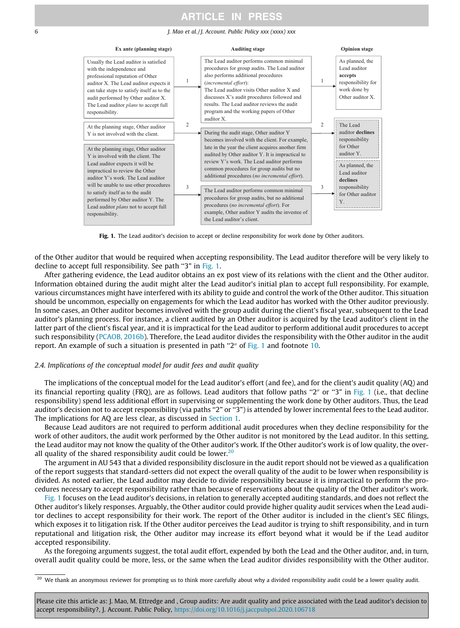#### <span id="page-5-0"></span>6 J. Mao et al. / J. Account. Public Policy xxx (xxxx) xxx



Fig. 1. The Lead auditor's decision to accept or decline responsibility for work done by Other auditors.

of the Other auditor that would be required when accepting responsibility. The Lead auditor therefore will be very likely to decline to accept full responsibility. See path "3" in Fig. 1.

After gathering evidence, the Lead auditor obtains an ex post view of its relations with the client and the Other auditor. Information obtained during the audit might alter the Lead auditor's initial plan to accept full responsibility. For example, various circumstances might have interfered with its ability to guide and control the work of the Other auditor. This situation should be uncommon, especially on engagements for which the Lead auditor has worked with the Other auditor previously. In some cases, an Other auditor becomes involved with the group audit during the client's fiscal year, subsequent to the Lead auditor's planning process. For instance, a client audited by an Other auditor is acquired by the Lead auditor's client in the latter part of the client's fiscal year, and it is impractical for the Lead auditor to perform additional audit procedures to accept such responsibility [\(PCAOB, 2016b](#page-24-0)). Therefore, the Lead auditor divides the responsibility with the Other auditor in the audit report. An example of such a situation is presented in path " $2$ " of Fig. 1 and footnote [10](#page-2-0).

#### 2.4. Implications of the conceptual model for audit fees and audit quality

The implications of the conceptual model for the Lead auditor's effort (and fee), and for the client's audit quality (AQ) and its financial reporting quality (FRQ), are as follows. Lead auditors that follow paths " $2<sup>n</sup>$  or " $3<sup>n</sup>$  in Fig. 1 (i.e., that decline responsibility) spend less additional effort in supervising or supplementing the work done by Other auditors. Thus, the Lead auditor's decision not to accept responsibility (via paths "2" or "3") is attended by lower incremental fees to the Lead auditor. The implications for AQ are less clear, as discussed in [Section 1](#page-0-0).

Because Lead auditors are not required to perform additional audit procedures when they decline responsibility for the work of other auditors, the audit work performed by the Other auditor is not monitored by the Lead auditor. In this setting, the Lead auditor may not know the quality of the Other auditor's work. If the Other auditor's work is of low quality, the overall quality of the shared responsibility audit could be lower. $20$ 

The argument in AU 543 that a divided responsibility disclosure in the audit report should not be viewed as a qualification of the report suggests that standard-setters did not expect the overall quality of the audit to be lower when responsibility is divided. As noted earlier, the Lead auditor may decide to divide responsibility because it is impractical to perform the procedures necessary to accept responsibility rather than because of reservations about the quality of the Other auditor's work.

Fig. 1 focuses on the Lead auditor's decisions, in relation to generally accepted auditing standards, and does not reflect the Other auditor's likely responses. Arguably, the Other auditor could provide higher quality audit services when the Lead auditor declines to accept responsibility for their work. The report of the Other auditor is included in the client's SEC filings, which exposes it to litigation risk. If the Other auditor perceives the Lead auditor is trying to shift responsibility, and in turn reputational and litigation risk, the Other auditor may increase its effort beyond what it would be if the Lead auditor accepted responsibility.

As the foregoing arguments suggest, the total audit effort, expended by both the Lead and the Other auditor, and, in turn, overall audit quality could be more, less, or the same when the Lead auditor divides responsibility with the Other auditor.

 $20$  We thank an anonymous reviewer for prompting us to think more carefully about why a divided responsibility audit could be a lower quality audit.

Please cite this article as: J. Mao, M. Ettredge and , Group audits: Are audit quality and price associated with the Lead auditor's decision to accept responsibility?, J. Account. Public Policy, <https://doi.org/10.1016/j.jaccpubpol.2020.106718>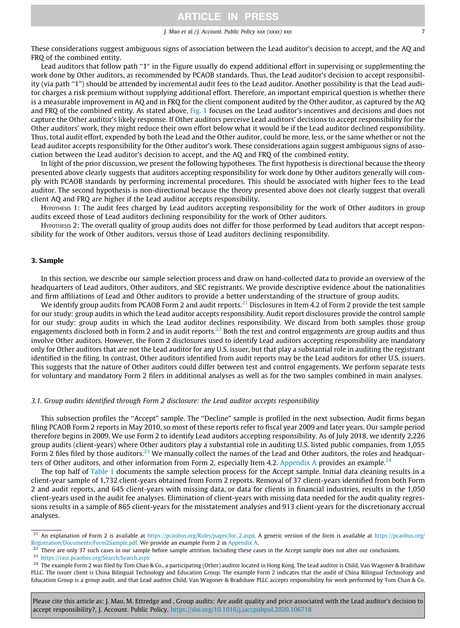<span id="page-6-0"></span>These considerations suggest ambiguous signs of association between the Lead auditor's decision to accept, and the AQ and FRQ of the combined entity.

Lead auditors that follow path "1" in the Figure usually do expend additional effort in supervising or supplementing the work done by Other auditors, as recommended by PCAOB standards. Thus, the Lead auditor's decision to accept responsibility (via path ''1") should be attended by incremental audit fees to the Lead auditor. Another possibility is that the Lead auditor charges a risk premium without supplying additional effort. Therefore, an important empirical question is whether there is a measurable improvement in AQ and in FRQ for the client component audited by the Other auditor, as captured by the AQ and FRQ of the combined entity. As stated above, [Fig. 1](#page-5-0) focuses on the Lead auditor's incentives and decisions and does not capture the Other auditor's likely response. If Other auditors perceive Lead auditors' decisions to accept responsibility for the Other auditors' work, they might reduce their own effort below what it would be if the Lead auditor declined responsibility. Thus, total audit effort, expended by both the Lead and the Other auditor, could be more, less, or the same whether or not the Lead auditor accepts responsibility for the Other auditor's work. These considerations again suggest ambiguous signs of association between the Lead auditor's decision to accept, and the AQ and FRQ of the combined entity.

In light of the prior discussion, we present the following hypotheses. The first hypothesis is directional because the theory presented above clearly suggests that auditors accepting responsibility for work done by Other auditors generally will comply with PCAOB standards by performing incremental procedures. This should be associated with higher fees to the Lead auditor. The second hypothesis is non-directional because the theory presented above does not clearly suggest that overall client AQ and FRQ are higher if the Lead auditor accepts responsibility.

HYPOTHESIS 1: The audit fees charged by Lead auditors accepting responsibility for the work of Other auditors in group audits exceed those of Lead auditors declining responsibility for the work of Other auditors.

HYPOTHESIS 2: The overall quality of group audits does not differ for those performed by Lead auditors that accept responsibility for the work of Other auditors, versus those of Lead auditors declining responsibility.

#### 3. Sample

In this section, we describe our sample selection process and draw on hand-collected data to provide an overview of the headquarters of Lead auditors, Other auditors, and SEC registrants. We provide descriptive evidence about the nationalities and firm affiliations of Lead and Other auditors to provide a better understanding of the structure of group audits.

We identify group audits from PCAOB Form 2 and audit reports.<sup>21</sup> Disclosures in Item 4.2 of Form 2 provide the test sample for our study: group audits in which the Lead auditor accepts responsibility. Audit report disclosures provide the control sample for our study: group audits in which the Lead auditor declines responsibility. We discard from both samples those group engagements disclosed both in Form 2 and in audit reports.<sup>22</sup> Both the test and control engagements are group audits and thus involve Other auditors. However, the Form 2 disclosures used to identify Lead auditors accepting responsibility are mandatory only for Other auditors that are not the Lead auditor for any U.S. issuer, but that play a substantial role in auditing the registrant identified in the filing. In contrast, Other auditors identified from audit reports may be the Lead auditors for other U.S. issuers. This suggests that the nature of Other auditors could differ between test and control engagements. We perform separate tests for voluntary and mandatory Form 2 filers in additional analyses as well as for the two samples combined in main analyses.

#### 3.1. Group audits identified through Form 2 disclosure: the Lead auditor accepts responsibility

This subsection profiles the ''Accept" sample. The ''Decline" sample is profiled in the next subsection. Audit firms began filing PCAOB Form 2 reports in May 2010, so most of these reports refer to fiscal year 2009 and later years. Our sample period therefore begins in 2009. We use Form 2 to identify Lead auditors accepting responsibility. As of July 2018, we identify 2,226 group audits (client-years) where Other auditors play a substantial role in auditing U.S. listed public companies, from 1,055 Form 2 files filed by those auditors.<sup>23</sup> We manually collect the names of the Lead and Other auditors, the roles and headquar-ters of Other auditors, and other information from Form 2, especially Item 4.2. [Appendix A](#page-21-0) provides an example.<sup>24</sup>

The top half of [Table 1](#page-7-0) documents the sample selection process for the Accept sample. Initial data cleaning results in a client-year sample of 1,732 client-years obtained from Form 2 reports. Removal of 37 client-years identified from both Form 2 and audit reports, and 645 client-years with missing data, or data for clients in financial industries, results in the 1,050 client-years used in the audit fee analyses. Elimination of client-years with missing data needed for the audit quality regressions results in a sample of 865 client-years for the misstatement analyses and 913 client-years for the discretionary accrual analyses.

<sup>23</sup> <https://rasr.pcaobus.org/Search/Search.aspx>

<sup>21</sup> An explanation of Form 2 is available at [https://pcaobus.org/Rules/pages/for\\_2.aspx.](https://pcaobus.org/Rules/pages/for_2.aspx) A generic version of the form is available at [https://pcaobus.org/](https://pcaobus.org/Registration/Documents/Form2Sample.pdf) [Registration/Documents/Form2Sample.pdf](https://pcaobus.org/Registration/Documents/Form2Sample.pdf). We provide an example Form 2 in [Appendix A.](#page-21-0)

 $22$  There are only 37 such cases in our sample before sample attrition. Including these cases in the Accept sample does not alter our conclusions.

 $^{24}$  The example Form 2 was filed by Tom Chan & Co., a participating (Other) auditor located in Hong Kong. The Lead auditor is Child, Van Wagoner & Bradshaw PLLC. The issuer client is China Bilingual Technology and Education Group. The example Form 2 indicates that the audit of China Bilingual Technology and Education Group is a group audit, and that Lead auditor Child, Van Wagoner & Bradshaw PLLC accepts responsibility for work performed by Tom Chan & Co.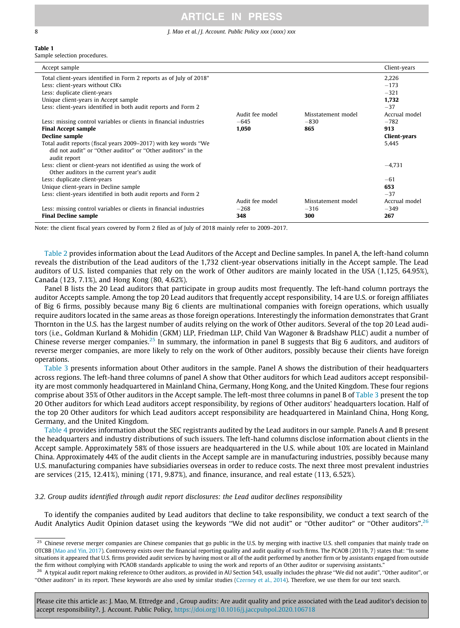#### 8 **S** J. Mao et al. *J. Mao et al. / J. Account. Public Policy xxx (xxxx) xxx*

## Table 1

Sample selection procedures.

| Accept sample                                                       |                 |                    | Client-years        |
|---------------------------------------------------------------------|-----------------|--------------------|---------------------|
| Total client-years identified in Form 2 reports as of July of 2018* |                 |                    | 2.226               |
| Less: client-years without CIKs                                     |                 |                    | $-173$              |
| Less: duplicate client-years                                        |                 |                    | $-321$              |
| Unique client-years in Accept sample                                |                 |                    | 1.732               |
| Less: client-years identified in both audit reports and Form 2      |                 |                    | $-37$               |
|                                                                     | Audit fee model | Misstatement model | Accrual model       |
| Less: missing control variables or clients in financial industries  | $-645$          | $-830$             | $-782$              |
| <b>Final Accept sample</b>                                          | 1.050           | 865                | 913                 |
| Decline sample                                                      |                 |                    | <b>Client-years</b> |
| Total audit reports (fiscal years 2009–2017) with key words "We     |                 |                    | 5,445               |
| did not audit" or "Other auditor" or "Other auditors" in the        |                 |                    |                     |
| audit report                                                        |                 |                    |                     |
| Less: client or client-years not identified as using the work of    |                 |                    | $-4,731$            |
| Other auditors in the current year's audit                          |                 |                    |                     |
| Less: duplicate client-years                                        |                 |                    | $-61$               |
| Unique client-years in Decline sample                               |                 |                    | 653                 |
| Less: client-years identified in both audit reports and Form 2      |                 |                    | $-37$               |
|                                                                     | Audit fee model | Misstatement model | Accrual model       |
| Less: missing control variables or clients in financial industries  | $-268$          | $-316$             | $-349$              |
| <b>Final Decline sample</b>                                         | 348             | 300                | 267                 |

Note: the client fiscal years covered by Form 2 filed as of July of 2018 mainly refer to 2009–2017.

[Table 2](#page-8-0) provides information about the Lead Auditors of the Accept and Decline samples. In panel A, the left-hand column reveals the distribution of the Lead auditors of the 1,732 client-year observations initially in the Accept sample. The Lead auditors of U.S. listed companies that rely on the work of Other auditors are mainly located in the USA (1,125, 64.95%), Canada (123, 7.1%), and Hong Kong (80, 4.62%).

Panel B lists the 20 Lead auditors that participate in group audits most frequently. The left-hand column portrays the auditor Accepts sample. Among the top 20 Lead auditors that frequently accept responsibility, 14 are U.S. or foreign affiliates of Big 6 firms, possibly because many Big 6 clients are multinational companies with foreign operations, which usually require auditors located in the same areas as those foreign operations. Interestingly the information demonstrates that Grant Thornton in the U.S. has the largest number of audits relying on the work of Other auditors. Several of the top 20 Lead auditors (i.e., Goldman Kurland & Mohidin (GKM) LLP, Friedman LLP, Child Van Wagoner & Bradshaw PLLC) audit a number of Chinese reverse merger companies.<sup>25</sup> In summary, the information in panel B suggests that Big 6 auditors, and auditors of reverse merger companies, are more likely to rely on the work of Other auditors, possibly because their clients have foreign operations.

[Table 3](#page-9-0) presents information about Other auditors in the sample. Panel A shows the distribution of their headquarters across regions. The left-hand three columns of panel A show that Other auditors for which Lead auditors accept responsibility are most commonly headquartered in Mainland China, Germany, Hong Kong, and the United Kingdom. These four regions comprise about 35% of Other auditors in the Accept sample. The left-most three columns in panel B of [Table 3](#page-9-0) present the top 20 Other auditors for which Lead auditors accept responsibility, by regions of Other auditors' headquarters location. Half of the top 20 Other auditors for which Lead auditors accept responsibility are headquartered in Mainland China, Hong Kong, Germany, and the United Kingdom.

[Table 4](#page-10-0) provides information about the SEC registrants audited by the Lead auditors in our sample. Panels A and B present the headquarters and industry distributions of such issuers. The left-hand columns disclose information about clients in the Accept sample. Approximately 58% of those issuers are headquartered in the U.S. while about 10% are located in Mainland China. Approximately 44% of the audit clients in the Accept sample are in manufacturing industries, possibly because many U.S. manufacturing companies have subsidiaries overseas in order to reduce costs. The next three most prevalent industries are services (215, 12.41%), mining (171, 9.87%), and finance, insurance, and real estate (113, 6.52%).

## 3.2. Group audits identified through audit report disclosures: the Lead auditor declines responsibility

To identify the companies audited by Lead auditors that decline to take responsibility, we conduct a text search of the Audit Analytics Audit Opinion dataset using the keywords "We did not audit" or "Other auditor" or "Other auditors".<sup>26</sup>

<span id="page-7-0"></span>

<sup>&</sup>lt;sup>25</sup> Chinese reverse merger companies are Chinese companies that go public in the U.S. by merging with inactive U.S. shell companies that mainly trade on OTCBB [\(Mao and Yin, 2017](#page-23-0)). Controversy exists over the financial reporting quality and audit quality of such firms. The PCAOB (2011b, 7) states that: ''In some situations it appeared that U.S. firms provided audit services by having most or all of the audit performed by another firm or by assistants engaged from outside the firm without complying with PCAOB standards applicable to using the work and reports of an Other auditor or supervising assistants."

<sup>&</sup>lt;sup>26</sup> A typical audit report making reference to Other auditors, as provided in AU Section 543, usually includes the phrase "We did not audit", "Other auditor", or ''Other auditors" in its report. These keywords are also used by similar studies ([Czerney et al., 2014\)](#page-23-0). Therefore, we use them for our text search.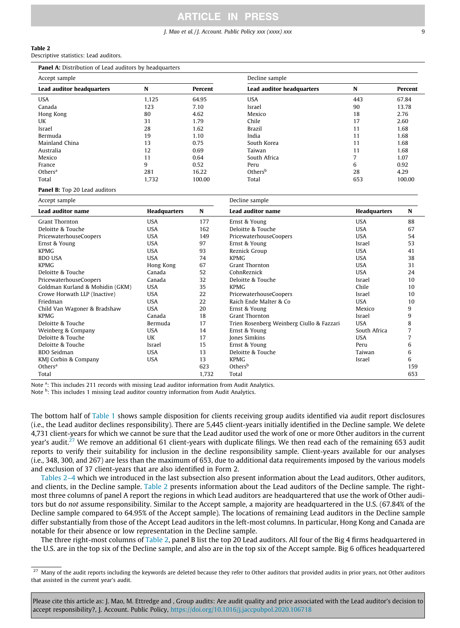#### J. Mao et al. / J. Account. Public Policy xxx (xxxx) xxx 9

#### <span id="page-8-0"></span>Table 2

Descriptive statistics: Lead auditors.

| Accept sample                    |       |         | Decline sample                   |     |         |  |
|----------------------------------|-------|---------|----------------------------------|-----|---------|--|
| <b>Lead auditor headquarters</b> | N     | Percent | <b>Lead auditor headquarters</b> | N   | Percent |  |
| <b>USA</b>                       | 1.125 | 64.95   | <b>USA</b>                       | 443 | 67.84   |  |
| Canada                           | 123   | 7.10    | Israel                           | 90  | 13.78   |  |
| Hong Kong                        | 80    | 4.62    | Mexico                           | 18  | 2.76    |  |
| UK                               | 31    | 1.79    | Chile                            | 17  | 2.60    |  |
| Israel                           | 28    | 1.62    | Brazil                           | 11  | 1.68    |  |
| Bermuda                          | 19    | 1.10    | India                            | 11  | 1.68    |  |
| Mainland China                   | 13    | 0.75    | South Korea                      | 11  | 1.68    |  |
| Australia                        | 12    | 0.69    | Taiwan                           | 11  | 1.68    |  |
| Mexico                           | 11    | 0.64    | South Africa                     | ∍   | 1.07    |  |
| France                           | 9     | 0.52    | Peru                             | 6   | 0.92    |  |
| Others <sup>a</sup>              | 281   | 16.22   | Others <sup>b</sup>              | 28  | 4.29    |  |
| Total                            | 1,732 | 100.00  | Total                            | 653 | 100.00  |  |

#### Panel B: Top 20 Lead auditors

| Accept sample                   |                     |       | Decline sample                            |                     |     |  |  |
|---------------------------------|---------------------|-------|-------------------------------------------|---------------------|-----|--|--|
| Lead auditor name               | <b>Headquarters</b> | N     | Lead auditor name                         | <b>Headquarters</b> | N   |  |  |
| <b>Grant Thornton</b>           | <b>USA</b>          | 177   | Ernst & Young                             | <b>USA</b>          | 88  |  |  |
| Deloitte & Touche               | <b>USA</b>          | 162   | Deloitte & Touche                         | <b>USA</b>          | 67  |  |  |
| PricewaterhouseCoopers          | <b>USA</b>          | 149   | PricewaterhouseCoopers                    | <b>USA</b>          | 54  |  |  |
| Ernst & Young                   | <b>USA</b>          | 97    | Ernst & Young                             | Israel              | 53  |  |  |
| <b>KPMG</b>                     | <b>USA</b>          | 93    | Reznick Group                             | <b>USA</b>          | 41  |  |  |
| <b>BDO USA</b>                  | <b>USA</b>          | 74    | <b>KPMG</b>                               | <b>USA</b>          | 38  |  |  |
| <b>KPMG</b>                     | Hong Kong           | 67    | <b>Grant Thornton</b>                     | <b>USA</b>          | 31  |  |  |
| Deloitte & Touche               | Canada              | 52    | CohnReznick                               | <b>USA</b>          | 24  |  |  |
| PricewaterhouseCoopers          | Canada              | 32    | Deloitte & Touche                         | Israel              | 10  |  |  |
| Goldman Kurland & Mohidin (GKM) | <b>USA</b>          | 35    | <b>KPMG</b>                               | Chile               | 10  |  |  |
| Crowe Horwath LLP (Inactive)    | <b>USA</b>          | 22    | PricewaterhouseCoopers                    | Israel              | 10  |  |  |
| Friedman                        | <b>USA</b>          | 22    | Raich Ende Malter & Co.                   | <b>USA</b>          | 10  |  |  |
| Child Van Wagoner & Bradshaw    | <b>USA</b>          | 20    | Ernst & Young                             | Mexico              | 9   |  |  |
| <b>KPMG</b>                     | Canada              | 18    | <b>Grant Thornton</b>                     | Israel              | 9   |  |  |
| Deloitte & Touche               | Bermuda             | 17    | Trien Rosenberg Weinberg Ciullo & Fazzari | <b>USA</b>          | 8   |  |  |
| Weinberg & Company              | <b>USA</b>          | 14    | Ernst & Young                             | South Africa        | 7   |  |  |
| Deloitte & Touche               | UK                  | 17    | Jones Simkins                             | <b>USA</b>          | 7   |  |  |
| Deloitte & Touche               | Israel              | 15    | Ernst & Young                             | Peru                | 6   |  |  |
| <b>BDO Seidman</b>              | <b>USA</b>          | 13    | Deloitte & Touche                         | Taiwan              | 6   |  |  |
| KMJ Corbin & Company            | <b>USA</b>          | 13    | <b>KPMG</b>                               | Israel              | 6   |  |  |
| Others <sup>a</sup>             |                     | 623   | Others <sup>b</sup>                       |                     | 159 |  |  |
| Total                           |                     | 1,732 | Total                                     |                     | 653 |  |  |

Note<sup>a</sup>: This includes 211 records with missing Lead auditor information from Audit Analytics.

Note <sup>b</sup>: This includes 1 missing Lead auditor country information from Audit Analytics.

The bottom half of [Table 1](#page-7-0) shows sample disposition for clients receiving group audits identified via audit report disclosures (i.e., the Lead auditor declines responsibility). There are 5,445 client-years initially identified in the Decline sample. We delete 4,731 client-years for which we cannot be sure that the Lead auditor used the work of one or more Other auditors in the current year's audit.<sup>27</sup> We remove an additional 61 client-years with duplicate filings. We then read each of the remaining 653 audit reports to verify their suitability for inclusion in the decline responsibility sample. Client-years available for our analyses (i.e., 348, 300, and 267) are less than the maximum of 653, due to additional data requirements imposed by the various models and exclusion of 37 client-years that are also identified in Form 2.

Tables 2–4 which we introduced in the last subsection also present information about the Lead auditors, Other auditors, and clients, in the Decline sample. Table 2 presents information about the Lead auditors of the Decline sample. The rightmost three columns of panel A report the regions in which Lead auditors are headquartered that use the work of Other auditors but do not assume responsibility. Similar to the Accept sample, a majority are headquartered in the U.S. (67.84% of the Decline sample compared to 64.95% of the Accept sample). The locations of remaining Lead auditors in the Decline sample differ substantially from those of the Accept Lead auditors in the left-most columns. In particular, Hong Kong and Canada are notable for their absence or low representation in the Decline sample.

The three right-most columns of Table 2, panel B list the top 20 Lead auditors. All four of the Big 4 firms headquartered in the U.S. are in the top six of the Decline sample, and also are in the top six of the Accept sample. Big 6 offices headquartered

 $27$  Many of the audit reports including the keywords are deleted because they refer to Other auditors that provided audits in prior years, not Other auditors that assisted in the current year's audit.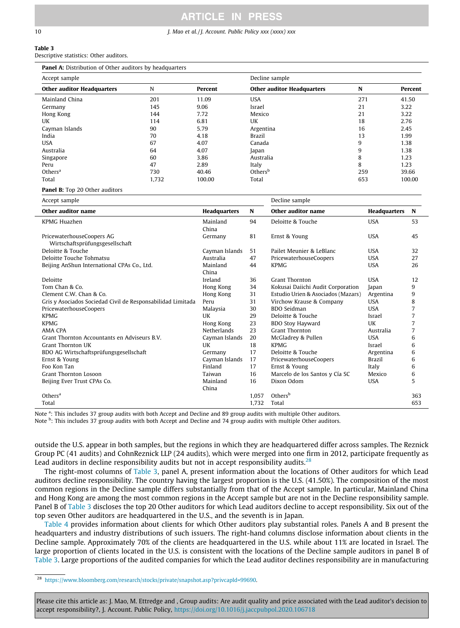#### <span id="page-9-0"></span>10 J. Mao et al. / J. Account. Public Policy xxx (xxxx) xxx

## Table 3

Descriptive statistics: Other auditors.

Panel A: Distribution of Other auditors by headquarters

| Accept sample                     |       |         | Decline sample                    |     |         |  |  |
|-----------------------------------|-------|---------|-----------------------------------|-----|---------|--|--|
| <b>Other auditor Headquarters</b> | N     | Percent | <b>Other auditor Headquarters</b> | N   | Percent |  |  |
| Mainland China                    | 201   | 11.09   | <b>USA</b>                        | 271 | 41.50   |  |  |
| Germany                           | 145   | 9.06    | Israel                            | 21  | 3.22    |  |  |
| Hong Kong                         | 144   | 7.72    | Mexico                            | 21  | 3.22    |  |  |
| UK                                | 114   | 6.81    | UK                                | 18  | 2.76    |  |  |
| Cayman Islands                    | 90    | 5.79    | Argentina                         | 16  | 2.45    |  |  |
| India                             | 70    | 4.18    | Brazil                            | 13  | 1.99    |  |  |
| <b>USA</b>                        | 67    | 4.07    | Canada                            | 9   | 1.38    |  |  |
| Australia                         | 64    | 4.07    | Japan                             | 9   | 1.38    |  |  |
| Singapore                         | 60    | 3.86    | Australia                         | 8   | 1.23    |  |  |
| Peru                              | 47    | 2.89    | Italy                             | 8   | 1.23    |  |  |
| Others <sup>a</sup>               | 730   | 40.46   | Others <sup>b</sup>               | 259 | 39.66   |  |  |
| Total                             | 1,732 | 100.00  | Total                             | 653 | 100.00  |  |  |

#### Panel B: Top 20 Other auditors

| Accept sample                                                |                     |       | Decline sample                     |                     |     |
|--------------------------------------------------------------|---------------------|-------|------------------------------------|---------------------|-----|
| Other auditor name                                           | <b>Headquarters</b> | N     | Other auditor name                 | <b>Headquarters</b> | N   |
| KPMG Huazhen                                                 | Mainland<br>China   | 94    | Deloitte & Touche                  | <b>USA</b>          | 53  |
| PricewaterhouseCoopers AG<br>Wirtschaftsprüfungsgesellschaft | Germany             | 81    | Ernst & Young                      | <b>USA</b>          | 45  |
| Deloitte & Touche                                            | Cayman Islands      | 51    | Pailet Meunier & LeBlanc           | <b>USA</b>          | 32  |
| Deloitte Touche Tohmatsu                                     | Australia           | 47    | PricewaterhouseCoopers             | <b>USA</b>          | 27  |
| Beijing AnShun International CPAs Co., Ltd.                  | Mainland<br>China   | 44    | <b>KPMG</b>                        | <b>USA</b>          | 26  |
| Deloitte                                                     | Ireland             | 36    | <b>Grant Thornton</b>              | USA                 | 12  |
| Tom Chan & Co.                                               | Hong Kong           | 34    | Kokusai Daiichi Audit Corporation  | Japan               | 9   |
| Clement C.W. Chan & Co.                                      | Hong Kong           | 31    | Estudio Urien & Asociados (Mazars) | Argentina           | 9   |
| Gris y Asociados Sociedad Civil de Responsabilidad Limitada  | Peru                | 31    | Virchow Krause & Company           | <b>USA</b>          | 8   |
| PricewaterhouseCoopers                                       | Malaysia            | 30    | <b>BDO</b> Seidman                 | <b>USA</b>          | 7   |
| <b>KPMG</b>                                                  | UK                  | 29    | Deloitte & Touche                  | Israel              | 7   |
| <b>KPMG</b>                                                  | Hong Kong           | 23    | <b>BDO Stoy Hayward</b>            | UK                  | 7   |
| <b>AMA CPA</b>                                               | <b>Netherlands</b>  | 23    | <b>Grant Thornton</b>              | Australia           | 7   |
| Grant Thornton Accountants en Adviseurs B.V.                 | Cayman Islands      | 20    | McGladrey & Pullen                 | <b>USA</b>          | 6   |
| <b>Grant Thornton UK</b>                                     | UK                  | 18    | <b>KPMG</b>                        | Israel              | 6   |
| BDO AG Wirtschaftsprüfungsgesellschaft                       | Germany             | 17    | Deloitte & Touche                  | Argentina           | 6   |
| Ernst & Young                                                | Cayman Islands      | 17    | PricewaterhouseCoopers             | <b>Brazil</b>       | 6   |
| Foo Kon Tan                                                  | Finland             | 17    | Ernst & Young                      | Italy               | 6   |
| <b>Grant Thornton Losoon</b>                                 | Taiwan              | 16    | Marcelo de los Santos y Cía SC     | Mexico              | 6   |
| Beijing Ever Trust CPAs Co.                                  | Mainland            | 16    | Dixon Odom                         | <b>USA</b>          | 5   |
|                                                              | China               |       |                                    |                     |     |
| Others <sup>a</sup>                                          |                     | 1.057 | Others <sup>b</sup>                |                     | 363 |
| Total                                                        |                     | 1.732 | Total                              |                     | 653 |

Note <sup>a</sup>: This includes 37 group audits with both Accept and Decline and 89 group audits with multiple Other auditors.

Note <sup>b</sup>: This includes 37 group audits with both Accept and Decline and 74 group audits with multiple Other auditors.

outside the U.S. appear in both samples, but the regions in which they are headquartered differ across samples. The Reznick Group PC (41 audits) and CohnReznick LLP (24 audits), which were merged into one firm in 2012, participate frequently as Lead auditors in decline responsibility audits but not in accept responsibility audits.<sup>28</sup>

The right-most columns of Table 3, panel A, present information about the locations of Other auditors for which Lead auditors decline responsibility. The country having the largest proportion is the U.S. (41.50%). The composition of the most common regions in the Decline sample differs substantially from that of the Accept sample. In particular, Mainland China and Hong Kong are among the most common regions in the Accept sample but are not in the Decline responsibility sample. Panel B of Table 3 discloses the top 20 Other auditors for which Lead auditors decline to accept responsibility. Six out of the top seven Other auditors are headquartered in the U.S., and the seventh is in Japan.

[Table 4](#page-10-0) provides information about clients for which Other auditors play substantial roles. Panels A and B present the headquarters and industry distributions of such issuers. The right-hand columns disclose information about clients in the Decline sample. Approximately 70% of the clients are headquartered in the U.S. while about 11% are located in Israel. The large proportion of clients located in the U.S. is consistent with the locations of the Decline sample auditors in panel B of Table 3. Large proportions of the audited companies for which the Lead auditor declines responsibility are in manufacturing

<sup>28</sup> [https://www.bloomberg.com/research/stocks/private/snapshot.asp?privcapId=99690](https://www.bloomberg.com/research/stocks/private/snapshot.asp%3fprivcapId%3d99690).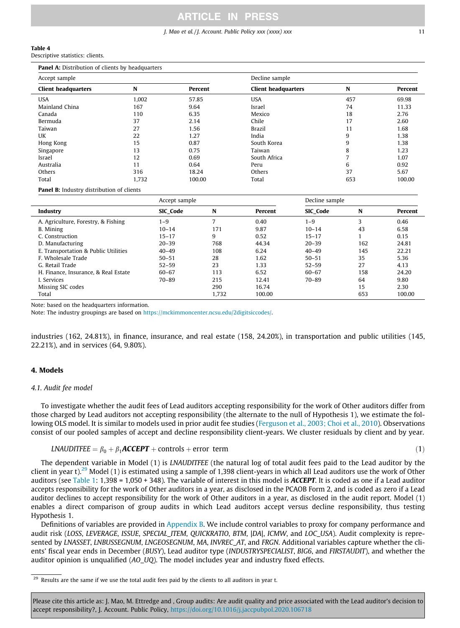#### J. Mao et al. / J. Account. Public Policy xxx (xxxx) xxx 11

#### <span id="page-10-0"></span>Table 4

Descriptive statistics: clients.

| Accept sample              |       |         | Decline sample             |     |         |  |  |
|----------------------------|-------|---------|----------------------------|-----|---------|--|--|
| <b>Client headquarters</b> | N     | Percent | <b>Client headquarters</b> | N   | Percent |  |  |
| <b>USA</b>                 | 1,002 | 57.85   | <b>USA</b>                 | 457 | 69.98   |  |  |
| Mainland China             | 167   | 9.64    | Israel                     | 74  | 11.33   |  |  |
| Canada                     | 110   | 6.35    | Mexico                     | 18  | 2.76    |  |  |
| Bermuda                    | 37    | 2.14    | Chile                      | 17  | 2.60    |  |  |
| Taiwan                     | 27    | 1.56    | <b>Brazil</b>              | 11  | 1.68    |  |  |
| UK                         | 22    | 1.27    | India                      | 9   | 1.38    |  |  |
| Hong Kong                  | 15    | 0.87    | South Korea                | 9   | 1.38    |  |  |
| Singapore                  | 13    | 0.75    | Taiwan                     | 8   | 1.23    |  |  |
| Israel                     | 12    | 0.69    | South Africa               |     | 1.07    |  |  |
| Australia                  | 11    | 0.64    | Peru                       | 6   | 0.92    |  |  |
| Others                     | 316   | 18.24   | Others                     | 37  | 5.67    |  |  |
| Total                      | 1,732 | 100.00  | Total                      | 653 | 100.00  |  |  |

Panel B: Industry distribution of clients

|                                      | Accept sample   |       |         | Decline sample  |     |         |
|--------------------------------------|-----------------|-------|---------|-----------------|-----|---------|
| Industry                             | <b>SIC</b> Code | N     | Percent | <b>SIC Code</b> | N   | Percent |
| A. Agriculture, Forestry, & Fishing  | $1 - 9$         | ⇁     | 0.40    | $1 - 9$         | 3   | 0.46    |
| <b>B.</b> Mining                     | $10 - 14$       | 171   | 9.87    | $10 - 14$       | 43  | 6.58    |
| C. Construction                      | $15 - 17$       | 9     | 0.52    | $15 - 17$       |     | 0.15    |
| D. Manufacturing                     | $20 - 39$       | 768   | 44.34   | $20 - 39$       | 162 | 24.81   |
| E. Transportation & Public Utilities | $40 - 49$       | 108   | 6.24    | $40 - 49$       | 145 | 22.21   |
| <b>F. Wholesale Trade</b>            | $50 - 51$       | 28    | 1.62    | $50 - 51$       | 35  | 5.36    |
| G. Retail Trade                      | $52 - 59$       | 23    | 1.33    | $52 - 59$       | 27  | 4.13    |
| H. Finance, Insurance, & Real Estate | $60 - 67$       | 113   | 6.52    | $60 - 67$       | 158 | 24.20   |
| I. Services                          | $70 - 89$       | 215   | 12.41   | $70 - 89$       | 64  | 9.80    |
| Missing SIC codes                    |                 | 290   | 16.74   |                 | 15  | 2.30    |
| Total                                |                 | 1,732 | 100.00  |                 | 653 | 100.00  |

Note: based on the headquarters information.

Note: The industry groupings are based on [https://mckimmoncenter.ncsu.edu/2digitsiccodes/.](https://mckimmoncenter.ncsu.edu/2digitsiccodes/)

industries (162, 24.81%), in finance, insurance, and real estate (158, 24.20%), in transportation and public utilities (145, 22.21%), and in services (64, 9.80%).

#### 4. Models

### 4.1. Audit fee model

To investigate whether the audit fees of Lead auditors accepting responsibility for the work of Other auditors differ from those charged by Lead auditors not accepting responsibility (the alternate to the null of Hypothesis 1), we estimate the fol-lowing OLS model. It is similar to models used in prior audit fee studies [\(Ferguson et al., 2003; Choi et al., 2010](#page-23-0)). Observations consist of our pooled samples of accept and decline responsibility client-years. We cluster residuals by client and by year.

#### LNAUDITFEE =  $\beta_0 + \beta_1$ **ACCEPT** + controls + error term  $(1)$

The dependent variable in Model (1) is LNAUDITFEE (the natural log of total audit fees paid to the Lead auditor by the client in year t).<sup>29</sup> Model (1) is estimated using a sample of 1,398 client-years in which all Lead auditors use the work of Other auditors (see [Table 1](#page-7-0): 1,398 = 1,050 + 348). The variable of interest in this model is **ACCEPT**. It is coded as one if a Lead auditor accepts responsibility for the work of Other auditors in a year, as disclosed in the PCAOB Form 2, and is coded as zero if a Lead auditor declines to accept responsibility for the work of Other auditors in a year, as disclosed in the audit report. Model (1) enables a direct comparison of group audits in which Lead auditors accept versus decline responsibility, thus testing Hypothesis 1.

Definitions of variables are provided in [Appendix B.](#page-21-0) We include control variables to proxy for company performance and audit risk (LOSS, LEVERAGE, ISSUE, SPECIAL\_ITEM, QUICKRATIO, BTM, |DA|, ICMW, and LOC\_USA). Audit complexity is represented by LNASSET, LNBUSSEGNUM, LNGEOSEGNUM, MA, INVREC\_AT, and FRGN. Additional variables capture whether the clients' fiscal year ends in December (BUSY), Lead auditor type (INDUSTRYSPECIALIST, BIG6, and FIRSTAUDIT), and whether the auditor opinion is unqualified (AO\_UQ). The model includes year and industry fixed effects.

 $29$  Results are the same if we use the total audit fees paid by the clients to all auditors in year t.

Please cite this article as: J. Mao, M. Ettredge and , Group audits: Are audit quality and price associated with the Lead auditor's decision to accept responsibility?, J. Account. Public Policy, <https://doi.org/10.1016/j.jaccpubpol.2020.106718>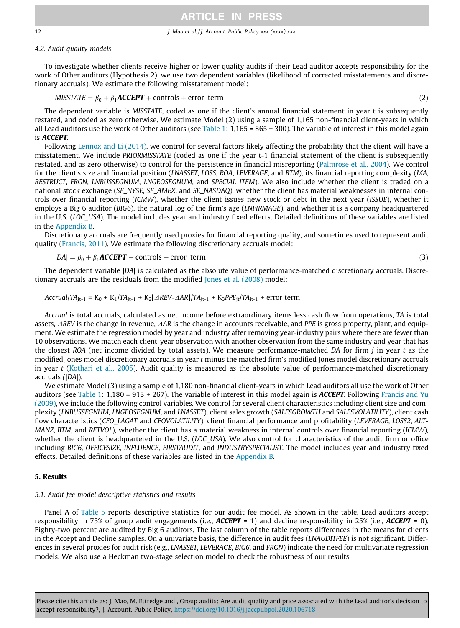## 4.2. Audit quality models

To investigate whether clients receive higher or lower quality audits if their Lead auditor accepts responsibility for the work of Other auditors (Hypothesis 2), we use two dependent variables (likelihood of corrected misstatements and discretionary accruals). We estimate the following misstatement model:

**ARTICLE IN PRESS** 

$$
MISSTATE = \beta_0 + \beta_1 \text{ACCEPT} + \text{controls} + \text{error term} \tag{2}
$$

The dependent variable is MISSTATE, coded as one if the client's annual financial statement in year t is subsequently restated, and coded as zero otherwise. We estimate Model (2) using a sample of 1,165 non-financial client-years in which all Lead auditors use the work of Other auditors (see [Table 1](#page-7-0):  $1,165 = 865 + 300$ ). The variable of interest in this model again is ACCEPT.

Following [Lennox and Li \(2014\)](#page-23-0), we control for several factors likely affecting the probability that the client will have a misstatement. We include PRIORMISSTATE (coded as one if the year t-1 financial statement of the client is subsequently restated, and as zero otherwise) to control for the persistence in financial misreporting [\(Palmrose et al., 2004\)](#page-23-0). We control for the client's size and financial position (LNASSET, LOSS, ROA, LEVERAGE, and BTM), its financial reporting complexity (MA, RESTRUCT, FRGN, LNBUSSEGNUM, LNGEOSEGNUM, and SPECIAL ITEM). We also include whether the client is traded on a national stock exchange (SE\_NYSE, SE\_AMEX, and SE\_NASDAQ), whether the client has material weaknesses in internal controls over financial reporting (ICMW), whether the client issues new stock or debt in the next year (ISSUE), whether it employs a Big 6 auditor (BIG6), the natural log of the firm's age (LNFIRMAGE), and whether it is a company headquartered in the U.S. (LOC\_USA). The model includes year and industry fixed effects. Detailed definitions of these variables are listed in the [Appendix B.](#page-21-0)

Discretionary accruals are frequently used proxies for financial reporting quality, and sometimes used to represent audit quality [\(Francis, 2011\)](#page-23-0). We estimate the following discretionary accruals model:

$$
|DA| = \beta_0 + \beta_1 \text{ACCEPT} + \text{controls} + \text{error term}
$$
\n(3)

The dependent variable |DA| is calculated as the absolute value of performance-matched discretionary accruals. Discretionary accruals are the residuals from the modified [Jones et al. \(2008\)](#page-23-0) model:

$$
Accrual/TA_{jt-1} = K_0 + K_1/TA_{jt-1} + K_2[ \triangle AEV - \triangle ARI]/TA_{jt-1} + K_3 PPE_{jt}/TA_{jt-1} + error term
$$

Accrual is total accruals, calculated as net income before extraordinary items less cash flow from operations, TA is total assets,  $\Delta$ REV is the change in revenue,  $\Delta$ AR is the change in accounts receivable, and PPE is gross property, plant, and equipment. We estimate the regression model by year and industry after removing year-industry pairs where there are fewer than 10 observations. We match each client-year observation with another observation from the same industry and year that has the closest ROA (net income divided by total assets). We measure performance-matched DA for firm  $j$  in year  $t$  as the modified Jones model discretionary accruals in year t minus the matched firm's modified Jones model discretionary accruals in year  $t$  ([Kothari et al., 2005\)](#page-23-0). Audit quality is measured as the absolute value of performance-matched discretionary accruals (|DA|).

We estimate Model (3) using a sample of 1,180 non-financial client-years in which Lead auditors all use the work of Other auditors (see [Table 1](#page-7-0): 1,180 = 913 + 267). The variable of interest in this model again is **ACCEPT**. Following [Francis and Yu](#page-23-0) [\(2009\)](#page-23-0), we include the following control variables. We control for several client characteristics including client size and complexity (LNBUSSEGNUM, LNGEOSEGNUM, and LNASSET), client sales growth (SALESGROWTH and SALESVOLATILITY), client cash flow characteristics (CFO\_LAGAT and CFOVOLATILITY), client financial performance and profitability (LEVERAGE, LOSS2, ALT-MANZ, BTM, and RETVOL), whether the client has a material weakness in internal controls over financial reporting (ICMW), whether the client is headquartered in the U.S. (LOC\_USA). We also control for characteristics of the audit firm or office including BIG6, OFFICESIZE, INFLUENCE, FIRSTAUDIT, and INDUSTRYSPECIALIST. The model includes year and industry fixed effects. Detailed definitions of these variables are listed in the [Appendix B](#page-21-0).

#### 5. Results

#### 5.1. Audit fee model descriptive statistics and results

Panel A of [Table 5](#page-12-0) reports descriptive statistics for our audit fee model. As shown in the table, Lead auditors accept responsibility in 75% of group audit engagements (i.e.,  $ACCEPT = 1$ ) and decline responsibility in 25% (i.e.,  $ACCEPT = 0$ ). Eighty-two percent are audited by Big 6 auditors. The last column of the table reports differences in the means for clients in the Accept and Decline samples. On a univariate basis, the difference in audit fees (LNAUDITFEE) is not significant. Differences in several proxies for audit risk (e.g., LNASSET, LEVERAGE, BIG6, and FRGN) indicate the need for multivariate regression models. We also use a Heckman two-stage selection model to check the robustness of our results.

<span id="page-11-0"></span>12 J. Mao et al. / J. Account. Public Policy xxx (xxxx) xxx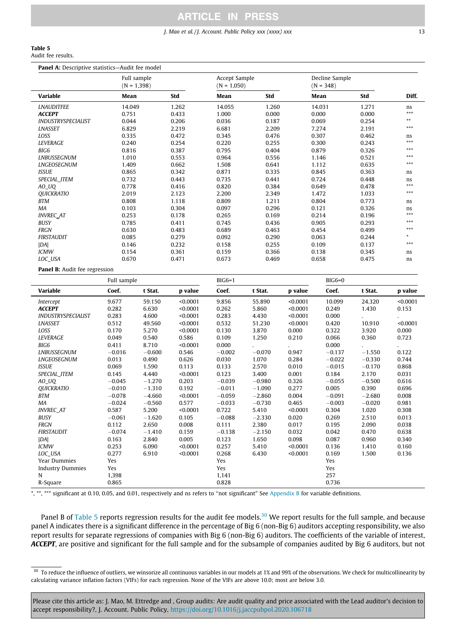#### J. Mao et al./J. Account. Public Policy xxx (xxxx) xxx 13

#### <span id="page-12-0"></span>Table 5

Audit fee results.

|                           | Full sample<br>$(N = 1,398)$ |       | Accept Sample<br>$(N = 1.050)$ |       | Decline Sample<br>$(N = 348)$ |       |            |
|---------------------------|------------------------------|-------|--------------------------------|-------|-------------------------------|-------|------------|
| <b>Variable</b>           | Mean                         | Std   | Mean                           | Std   | Mean                          | Std   | Diff.      |
| <b>LNAUDITFEE</b>         | 14.049                       | 1.262 | 14.055                         | 1.260 | 14.031                        | 1.271 | ns         |
| <b>ACCEPT</b>             | 0.751                        | 0.433 | 1.000                          | 0.000 | 0.000                         | 0.000 | ***        |
| <b>INDUSTRYSPECIALIST</b> | 0.044                        | 0.206 | 0.036                          | 0.187 | 0.069                         | 0.254 | $\ast\ast$ |
| <b>LNASSET</b>            | 6.829                        | 2.219 | 6.681                          | 2.209 | 7.274                         | 2.191 | $***$      |
| LOSS                      | 0.335                        | 0.472 | 0.345                          | 0.476 | 0.307                         | 0.462 | ns         |
| <b>LEVERAGE</b>           | 0.240                        | 0.254 | 0.220                          | 0.255 | 0.300                         | 0.243 | ***        |
| BIG6                      | 0.816                        | 0.387 | 0.795                          | 0.404 | 0.879                         | 0.326 | ***        |
| <b>LNBUSSEGNUM</b>        | 1.010                        | 0.553 | 0.964                          | 0.556 | 1.146                         | 0.521 | ***        |
| <b>LNGEOSEGNUM</b>        | 1.409                        | 0.662 | 1.508                          | 0.641 | 1.112                         | 0.635 | ***        |
| <b>ISSUE</b>              | 0.865                        | 0.342 | 0.871                          | 0.335 | 0.845                         | 0.363 | ns         |
| SPECIAL ITEM              | 0.732                        | 0.443 | 0.735                          | 0.441 | 0.724                         | 0.448 | ns         |
| AO_UQ                     | 0.778                        | 0.416 | 0.820                          | 0.384 | 0.649                         | 0.478 | ***        |
| <b>QUICKRATIO</b>         | 2.019                        | 2.123 | 2.200                          | 2.349 | 1.472                         | 1.033 | $***$      |
| <b>BTM</b>                | 0.808                        | 1.118 | 0.809                          | 1.211 | 0.804                         | 0.773 | ns         |
| MA                        | 0.103                        | 0.304 | 0.097                          | 0.296 | 0.121                         | 0.326 | ns         |
| <b>INVREC_AT</b>          | 0.253                        | 0.178 | 0.265                          | 0.169 | 0.214                         | 0.196 | ***        |
| <b>BUSY</b>               | 0.785                        | 0.411 | 0.745                          | 0.436 | 0.905                         | 0.293 | ***        |
| <b>FRGN</b>               | 0.630                        | 0.483 | 0.689                          | 0.463 | 0.454                         | 0.499 | ***        |
| <b>FIRSTAUDIT</b>         | 0.085                        | 0.279 | 0.092                          | 0.290 | 0.063                         | 0.244 | $\ast$     |
| DA                        | 0.146                        | 0.232 | 0.158                          | 0.255 | 0.109                         | 0.137 | $***$      |
| <b>ICMW</b>               | 0.154                        | 0.361 | 0.159                          | 0.366 | 0.138                         | 0.345 | ns         |
| LOC_USA                   | 0.670                        | 0.471 | 0.673                          | 0.469 | 0.658                         | 0.475 | ns         |

Panel B: Audit fee regression

|                           | Full sample |          |          | $BIG6=1$ |          |          | $BIG6=0$ |          |          |
|---------------------------|-------------|----------|----------|----------|----------|----------|----------|----------|----------|
| Variable                  | Coef.       | t Stat.  | p value  | Coef.    | t Stat.  | p value  | Coef.    | t Stat.  | p value  |
| Intercept                 | 9.677       | 59.150   | < 0.0001 | 9.856    | 55.890   | < 0.0001 | 10.099   | 24.320   | < 0.0001 |
| <b>ACCEPT</b>             | 0.282       | 6.630    | < 0.0001 | 0.262    | 5.860    | < 0.0001 | 0.249    | 1.430    | 0.153    |
| <b>INDUSTRYSPECIALIST</b> | 0.283       | 4.600    | < 0.0001 | 0.283    | 4.430    | < 0.0001 | 0.000    |          |          |
| <b>LNASSET</b>            | 0.512       | 49.560   | < 0.0001 | 0.532    | 51.230   | < 0.0001 | 0.420    | 10.910   | < 0.0001 |
| LOSS                      | 0.170       | 5.270    | < 0.0001 | 0.130    | 3.870    | 0.000    | 0.322    | 3.920    | 0.000    |
| <b>LEVERAGE</b>           | 0.049       | 0.540    | 0.586    | 0.109    | 1.250    | 0.210    | 0.066    | 0.360    | 0.723    |
| BIG6                      | 0.411       | 8.710    | < 0.0001 | 0.000    |          |          | 0.000    |          |          |
| <b>LNBUSSEGNUM</b>        | $-0.016$    | $-0.600$ | 0.546    | $-0.002$ | $-0.070$ | 0.947    | $-0.137$ | $-1.550$ | 0.122    |
| <b>LNGEOSEGNUM</b>        | 0.013       | 0.490    | 0.626    | 0.030    | 1.070    | 0.284    | $-0.022$ | $-0.330$ | 0.744    |
| <b>ISSUE</b>              | 0.069       | 1.590    | 0.113    | 0.133    | 2.570    | 0.010    | $-0.015$ | $-0.170$ | 0.868    |
| SPECIAL ITEM              | 0.145       | 4.440    | < 0.0001 | 0.123    | 3.400    | 0.001    | 0.184    | 2.170    | 0.031    |
| AO_UQ                     | $-0.045$    | $-1.270$ | 0.203    | $-0.039$ | $-0.980$ | 0.326    | $-0.055$ | $-0.500$ | 0.616    |
| <b>OUICKRATIO</b>         | $-0.010$    | $-1.310$ | 0.192    | $-0.011$ | $-1.090$ | 0.277    | 0.005    | 0.390    | 0.696    |
| <b>BTM</b>                | $-0.078$    | $-4.660$ | < 0.0001 | $-0.059$ | $-2.860$ | 0.004    | $-0.091$ | $-2.680$ | 0.008    |
| MA                        | $-0.024$    | $-0.560$ | 0.577    | $-0.033$ | $-0.730$ | 0.465    | $-0.003$ | $-0.020$ | 0.981    |
| <b>INVREC AT</b>          | 0.587       | 5.200    | < 0.0001 | 0.722    | 5.410    | < 0.0001 | 0.304    | 1.020    | 0.308    |
| <b>BUSY</b>               | $-0.061$    | $-1.620$ | 0.105    | $-0.088$ | $-2.330$ | 0.020    | 0.269    | 2.510    | 0.013    |
| <b>FRGN</b>               | 0.112       | 2.650    | 0.008    | 0.111    | 2.380    | 0.017    | 0.195    | 2.090    | 0.038    |
| <b>FIRSTAUDIT</b>         | $-0.074$    | $-1.410$ | 0.159    | $-0.138$ | $-2.150$ | 0.032    | 0.042    | 0.470    | 0.638    |
| DA                        | 0.163       | 2.840    | 0.005    | 0.123    | 1.650    | 0.098    | 0.087    | 0.960    | 0.340    |
| <b>ICMW</b>               | 0.253       | 6.090    | < 0.0001 | 0.257    | 5.410    | < 0.0001 | 0.136    | 1.410    | 0.160    |
| LOC_USA                   | 0.277       | 6.910    | < 0.0001 | 0.268    | 6.430    | < 0.0001 | 0.169    | 1.500    | 0.136    |
| <b>Year Dummies</b>       | Yes         |          |          | Yes      |          |          | Yes      |          |          |
| <b>Industry Dummies</b>   | Yes         |          |          | Yes      |          |          | Yes      |          |          |
| N                         | 1,398       |          |          | 1,141    |          |          | 257      |          |          |
| R-Square                  | 0.865       |          |          | 0.828    |          |          | 0.736    |          |          |

\*, \*\*, \*\*\*\* significant at 0.10, 0.05, and 0.01, respectively and ns refers to "not significant" See [Appendix B](#page-21-0) for variable definitions.

Panel B of Table 5 reports regression results for the audit fee models.<sup>30</sup> We report results for the full sample, and because panel A indicates there is a significant difference in the percentage of Big 6 (non-Big 6) auditors accepting responsibility, we also report results for separate regressions of companies with Big 6 (non-Big 6) auditors. The coefficients of the variable of interest, ACCEPT, are positive and significant for the full sample and for the subsample of companies audited by Big 6 auditors, but not

<sup>&</sup>lt;sup>30</sup> To reduce the influence of outliers, we winsorize all continuous variables in our models at 1% and 99% of the observations. We check for multicollinearity by calculating variance inflation factors (VIFs) for each regression. None of the VIFs are above 10.0; most are below 3.0.

Please cite this article as: J. Mao, M. Ettredge and , Group audits: Are audit quality and price associated with the Lead auditor's decision to accept responsibility?, J. Account. Public Policy, <https://doi.org/10.1016/j.jaccpubpol.2020.106718>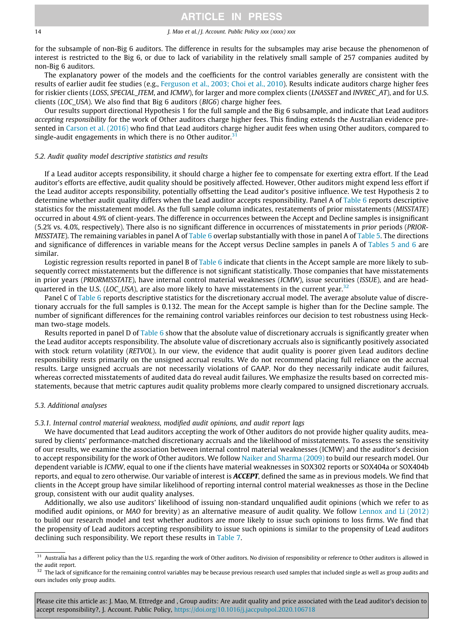#### 14 J. Mao et al. / J. Account. Public Policy xxx (xxxx) xxx

for the subsample of non-Big 6 auditors. The difference in results for the subsamples may arise because the phenomenon of interest is restricted to the Big 6, or due to lack of variability in the relatively small sample of 257 companies audited by non-Big 6 auditors.

The explanatory power of the models and the coefficients for the control variables generally are consistent with the results of earlier audit fee studies (e.g., [Ferguson et al., 2003; Choi et al., 2010](#page-23-0)). Results indicate auditors charge higher fees for riskier clients (LOSS, SPECIAL\_ITEM, and ICMW), for larger and more complex clients (LNASSET and INVREC\_AT), and for U.S. clients (LOC\_USA). We also find that Big 6 auditors (BIG6) charge higher fees.

Our results support directional Hypothesis 1 for the full sample and the Big 6 subsample, and indicate that Lead auditors accepting responsibility for the work of Other auditors charge higher fees. This finding extends the Australian evidence presented in [Carson et al. \(2016\)](#page-23-0) who find that Lead auditors charge higher audit fees when using Other auditors, compared to single-audit engagements in which there is no Other auditor. $31$ 

#### 5.2. Audit quality model descriptive statistics and results

If a Lead auditor accepts responsibility, it should charge a higher fee to compensate for exerting extra effort. If the Lead auditor's efforts are effective, audit quality should be positively affected. However, Other auditors might expend less effort if the Lead auditor accepts responsibility, potentially offsetting the Lead auditor's positive influence. We test Hypothesis 2 to determine whether audit quality differs when the Lead auditor accepts responsibility. Panel A of [Table 6](#page-14-0) reports descriptive statistics for the misstatement model. As the full sample column indicates, restatements of prior misstatements (MISSTATE) occurred in about 4.9% of client-years. The difference in occurrences between the Accept and Decline samples is insignificant (5.2% vs. 4.0%, respectively). There also is no significant difference in occurrences of misstatements in prior periods (PRIOR-MISSTATE). The remaining variables in panel A of [Table 6](#page-14-0) overlap substantially with those in panel A of [Table 5](#page-12-0). The directions and significance of differences in variable means for the Accept versus Decline samples in panels A of [Tables 5 and 6](#page-12-0) are similar.

Logistic regression results reported in panel B of [Table 6](#page-14-0) indicate that clients in the Accept sample are more likely to subsequently correct misstatements but the difference is not significant statistically. Those companies that have misstatements in prior years (PRIORMISSTATE), have internal control material weaknesses (ICMW), issue securities (ISSUE), and are headquartered in the U.S. (LOC\_USA), are also more likely to have misstatements in the current year.<sup>32</sup>

Panel C of [Table 6](#page-14-0) reports descriptive statistics for the discretionary accrual model. The average absolute value of discretionary accruals for the full samples is 0.132. The mean for the Accept sample is higher than for the Decline sample. The number of significant differences for the remaining control variables reinforces our decision to test robustness using Heckman two-stage models.

Results reported in panel D of [Table 6](#page-14-0) show that the absolute value of discretionary accruals is significantly greater when the Lead auditor accepts responsibility. The absolute value of discretionary accruals also is significantly positively associated with stock return volatility (*RETVOL*). In our view, the evidence that audit quality is poorer given Lead auditors decline responsibility rests primarily on the unsigned accrual results. We do not recommend placing full reliance on the accrual results. Large unsigned accruals are not necessarily violations of GAAP. Nor do they necessarily indicate audit failures, whereas corrected misstatements of audited data do reveal audit failures. We emphasize the results based on corrected misstatements, because that metric captures audit quality problems more clearly compared to unsigned discretionary accruals.

#### 5.3. Additional analyses

#### 5.3.1. Internal control material weakness, modified audit opinions, and audit report lags

We have documented that Lead auditors accepting the work of Other auditors do not provide higher quality audits, measured by clients' performance-matched discretionary accruals and the likelihood of misstatements. To assess the sensitivity of our results, we examine the association between internal control material weaknesses (ICMW) and the auditor's decision to accept responsibility for the work of Other auditors. We follow [Naiker and Sharma \(2009\)](#page-23-0) to build our research model. Our dependent variable is ICMW, equal to one if the clients have material weaknesses in SOX302 reports or SOX404a or SOX404b reports, and equal to zero otherwise. Our variable of interest is **ACCEPT**, defined the same as in previous models. We find that clients in the Accept group have similar likelihood of reporting internal control material weaknesses as those in the Decline group, consistent with our audit quality analyses.

Additionally, we also use auditors' likelihood of issuing non-standard unqualified audit opinions (which we refer to as modified audit opinions, or MAO for brevity) as an alternative measure of audit quality. We follow [Lennox and Li \(2012\)](#page-23-0) to build our research model and test whether auditors are more likely to issue such opinions to loss firms. We find that the propensity of Lead auditors accepting responsibility to issue such opinions is similar to the propensity of Lead auditors declining such responsibility. We report these results in [Table 7.](#page-16-0)

<sup>&</sup>lt;sup>31</sup> Australia has a different policy than the U.S. regarding the work of Other auditors. No division of responsibility or reference to Other auditors is allowed in the audit report.

<sup>&</sup>lt;sup>32</sup> The lack of significance for the remaining control variables may be because previous research used samples that included single as well as group audits and ours includes only group audits.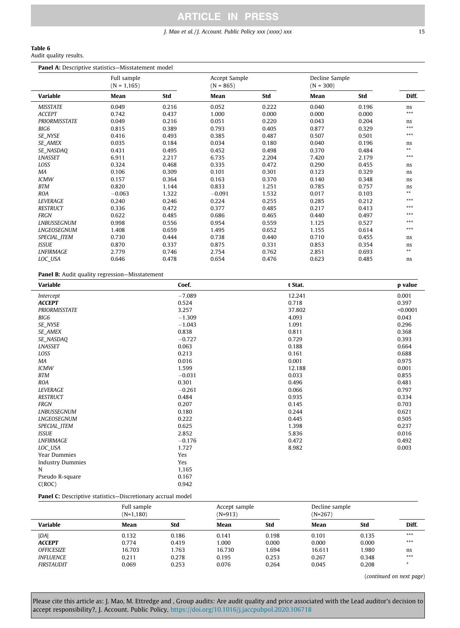## J. Mao et al. / J. Account. Public Policy xxx (xxxx) xxx 15

#### <span id="page-14-0"></span>Table 6

 $\overline{\phantom{a}}$ 

Audit quality results.

| Panel A: Descriptive statistics-Misstatement model |                              |       |             |               |       |                |            |
|----------------------------------------------------|------------------------------|-------|-------------|---------------|-------|----------------|------------|
|                                                    | Full sample<br>$(N = 1,165)$ |       | $(N = 865)$ | Accept Sample |       | Decline Sample |            |
| <b>Variable</b>                                    | Mean                         | Std   | Mean        | Std           | Mean  | Std            | Diff.      |
| <b>MISSTATE</b>                                    | 0.049                        | 0.216 | 0.052       | 0.222         | 0.040 | 0.196          | ns         |
| <b>ACCEPT</b>                                      | 0.742                        | 0.437 | 1.000       | 0.000         | 0.000 | 0.000          | $***$      |
| <b>PRIORMISSTATE</b>                               | 0.049                        | 0.216 | 0.051       | 0.220         | 0.043 | 0.204          | ns         |
| BIG6                                               | 0.815                        | 0.389 | 0.793       | 0.405         | 0.877 | 0.329          | $***$      |
| SE_NYSE                                            | 0.416                        | 0.493 | 0.385       | 0.487         | 0.507 | 0.501          | $***$      |
| <b>SE AMEX</b>                                     | 0.035                        | 0.184 | 0.034       | 0.180         | 0.040 | 0.196          | ns         |
| SE NASDAO                                          | 0.431                        | 0.495 | 0.452       | 0.498         | 0.370 | 0.484          | $***$      |
| <b>LNASSET</b>                                     | 6.911                        | 2.217 | 6.735       | 2.204         | 7.420 | 2.179          | $***$      |
| LOSS                                               | 0.324                        | 0.468 | 0.335       | 0.472         | 0.290 | 0.455          | ns         |
| MA                                                 | 0.106                        | 0.309 | 0.101       | 0.301         | 0.123 | 0.329          | ns         |
| <b>ICMW</b>                                        | 0.157                        | 0.364 | 0.163       | 0.370         | 0.140 | 0.348          | ns         |
| <b>BTM</b>                                         | 0.820                        | 1.144 | 0.833       | 1.251         | 0.785 | 0.757          | ns         |
| <b>ROA</b>                                         | $-0.063$                     | 1.322 | $-0.091$    | 1.532         | 0.017 | 0.103          | $***$      |
| <b>LEVERAGE</b>                                    | 0.240                        | 0.246 | 0.224       | 0.255         | 0.285 | 0.212          | $***$      |
| <b>RESTRUCT</b>                                    | 0.336                        | 0.472 | 0.377       | 0.485         | 0.217 | 0.413          | $***$      |
| <b>FRGN</b>                                        | 0.622                        | 0.485 | 0.686       | 0.465         | 0.440 | 0.497          | ***        |
| <b>LNBUSSEGNUM</b>                                 | 0.998                        | 0.556 | 0.954       | 0.559         | 1.125 | 0.527          | $***$      |
| <b>LNGEOSEGNUM</b>                                 | 1.408                        | 0.659 | 1.495       | 0.652         | 1.155 | 0.614          | $***$      |
| SPECIAL_ITEM                                       | 0.730                        | 0.444 | 0.738       | 0.440         | 0.710 | 0.455          | ns         |
| <b>ISSUE</b>                                       | 0.870                        | 0.337 | 0.875       | 0.331         | 0.853 | 0.354          | ns         |
| <b>LNFIRMAGE</b>                                   | 2.779                        | 0.746 | 2.754       | 0.762         | 2.851 | 0.693          | $\ast\ast$ |
| LOC_USA                                            | 0.646                        | 0.478 | 0.654       | 0.476         | 0.623 | 0.485          | ns         |

Panel B: Audit quality regression—Misstatement

| Variable                | Coef.    | t Stat. | p value  |
|-------------------------|----------|---------|----------|
| Intercept               | $-7.089$ | 12.241  | 0.001    |
| <b>ACCEPT</b>           | 0.524    | 0.718   | 0.397    |
| <b>PRIORMISSTATE</b>    | 3.257    | 37.802  | < 0.0001 |
| BIG6                    | $-1.309$ | 4.093   | 0.043    |
| SE_NYSE                 | $-1.043$ | 1.091   | 0.296    |
| <b>SE AMEX</b>          | 0.838    | 0.811   | 0.368    |
| SE_NASDAQ               | $-0.727$ | 0.729   | 0.393    |
| <b>LNASSET</b>          | 0.063    | 0.188   | 0.664    |
| LOSS                    | 0.213    | 0.161   | 0.688    |
| ΜA                      | 0.016    | 0.001   | 0.975    |
| <b>ICMW</b>             | 1.599    | 12.188  | 0.001    |
| <b>BTM</b>              | $-0.031$ | 0.033   | 0.855    |
| <b>ROA</b>              | 0.301    | 0.496   | 0.481    |
| <b>LEVERAGE</b>         | $-0.261$ | 0.066   | 0.797    |
| <b>RESTRUCT</b>         | 0.484    | 0.935   | 0.334    |
| <b>FRGN</b>             | 0.207    | 0.145   | 0.703    |
| <b>LNBUSSEGNUM</b>      | 0.180    | 0.244   | 0.621    |
| <b>LNGEOSEGNUM</b>      | 0.222    | 0.445   | 0.505    |
| SPECIAL_ITEM            | 0.625    | 1.398   | 0.237    |
| <b>ISSUE</b>            | 2.852    | 5.836   | 0.016    |
| <b>LNFIRMAGE</b>        | $-0.176$ | 0.472   | 0.492    |
| LOC_USA                 | 1.727    | 8.982   | 0.003    |
| <b>Year Dummies</b>     | Yes      |         |          |
| <b>Industry Dummies</b> | Yes      |         |          |
| $\mathbf N$             | 1,165    |         |          |
| Pseudo R-square         | 0.167    |         |          |

 $C(ROC)$  0.942 Panel C: Descriptive statistics—Discretionary accrual model

|                   | Full sample<br>$(N=1,180)$ |       | Accept sample<br>$(N=913)$ |       | Decline sample<br>$(N=267)$ |       |       |
|-------------------|----------------------------|-------|----------------------------|-------|-----------------------------|-------|-------|
| Variable          | Mean                       | Std   | Mean                       | Std   | Mean                        | Std   | Diff. |
| DA                | 0.132                      | 0.186 | 0.141                      | 0.198 | 0.101                       | 0.135 | $***$ |
| <b>ACCEPT</b>     | 0.774                      | 0.419 | 1.000                      | 0.000 | 0.000                       | 0.000 | $***$ |
| <b>OFFICESIZE</b> | 16.703                     | .763  | 16.730                     | 1.694 | 16.611                      | 1.980 | ns    |
| <b>INFLUENCE</b>  | 0.211                      | 0.278 | 0.195                      | 0.253 | 0.267                       | 0.348 | $***$ |
| <b>FIRSTAUDIT</b> | 0.069                      | 0.253 | 0.076                      | 0.264 | 0.045                       | 0.208 |       |

(continued on next page)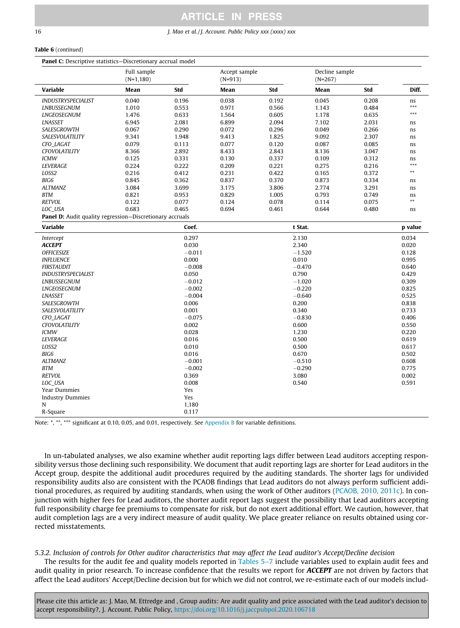#### 16 J. Mao et al. / J. Account. Public Policy xxx (xxxx) xxx

#### Table 6 (continued)

| Panel C: Descriptive statistics-Discretionary accrual model     |                            |          |                            |          |                             |       |            |
|-----------------------------------------------------------------|----------------------------|----------|----------------------------|----------|-----------------------------|-------|------------|
|                                                                 | Full sample<br>$(N=1,180)$ |          | Accept sample<br>$(N=913)$ |          | Decline sample<br>$(N=267)$ |       |            |
| <b>Variable</b>                                                 | Mean                       | Std      | Mean                       | Std      | Mean                        | Std   | Diff.      |
| <b>INDUSTRYSPECIALIST</b>                                       | 0.040                      | 0.196    | 0.038                      | 0.192    | 0.045                       | 0.208 | ns         |
| <b>LNBUSSEGNUM</b>                                              | 1.010                      | 0.553    | 0.971                      | 0.566    | 1.143                       | 0.484 | $***$      |
| <b>LNGEOSEGNUM</b>                                              | 1.476                      | 0.633    | 1.564                      | 0.605    | 1.178                       | 0.635 | $***$      |
| <b>LNASSET</b>                                                  | 6.945                      | 2.081    | 6.899                      | 2.094    | 7.102                       | 2.031 | ns         |
| SALESGROWTH                                                     | 0.067                      | 0.290    | 0.072                      | 0.296    | 0.049                       | 0.266 | ns         |
| SALESVOLATILITY                                                 | 9.341                      | 1.948    | 9.413                      | 1.825    | 9.092                       | 2.307 | ns         |
| CFO_LAGAT                                                       | 0.079                      | 0.113    | 0.077                      | 0.120    | 0.087                       | 0.085 | ns         |
| <b>CFOVOLATILITY</b>                                            | 8.366                      | 2.892    | 8.433                      | 2.843    | 8.136                       | 3.047 | ns         |
| <b>ICMW</b>                                                     | 0.125                      | 0.331    | 0.130                      | 0.337    | 0.109                       | 0.312 | ns         |
| LEVERAGE                                                        | 0.224                      | 0.222    | 0.209                      | 0.221    | 0.275                       | 0.216 | $***$      |
| LOSS2                                                           | 0.216                      | 0.412    | 0.231                      | 0.422    | 0.165                       | 0.372 | $\ast\ast$ |
| BIG6                                                            | 0.845                      | 0.362    | 0.837                      | 0.370    | 0.873                       | 0.334 | ns         |
| ALTMANZ                                                         | 3.084                      | 3.699    | 3.175                      | 3.806    | 2.774                       | 3.291 | ns         |
| <b>BTM</b>                                                      | 0.821                      | 0.953    | 0.829                      | 1.005    | 0.793                       | 0.749 | ns         |
| <b>RETVOL</b>                                                   | 0.122                      | 0.077    | 0.124                      | 0.078    | 0.114                       | 0.075 | $^{**}$    |
| LOC USA                                                         | 0.683                      | 0.465    | 0.694                      | 0.461    | 0.644                       | 0.480 | ns         |
| <b>Panel D:</b> Audit quality regression-Discretionary accruals |                            |          |                            |          |                             |       |            |
| Variable                                                        |                            | Coef.    |                            |          | t Stat.                     |       | p value    |
| Intercept                                                       |                            | 0.297    |                            |          | 2.130                       |       | 0.034      |
| <b>ACCEPT</b>                                                   |                            | 0.030    |                            | 2.340    |                             |       |            |
| <b>OFFICESIZE</b>                                               |                            | $-0.011$ |                            |          | $-1.520$                    |       | 0.128      |
| <b>INFLUENCE</b>                                                |                            | 0.000    |                            |          | 0.010                       |       | 0.995      |
| <b>FIRSTAUDIT</b>                                               |                            | $-0.008$ |                            |          | $-0.470$                    |       | 0.640      |
| <b>INDUSTRYSPECIALIST</b>                                       |                            | 0.050    |                            |          | 0.790                       |       | 0.429      |
| LNBUSSEGNUM                                                     |                            | $-0.012$ |                            |          | $-1.020$                    |       | 0.309      |
| LNGEOSEGNUM                                                     |                            | $-0.002$ |                            |          | $-0.220$                    |       | 0.825      |
| LNASSET                                                         |                            | $-0.004$ |                            |          | $-0.640$                    |       | 0.525      |
| SALESGROWTH                                                     |                            | 0.006    |                            |          | 0.200                       |       | 0.838      |
| SALESVOLATILITY                                                 |                            | 0.001    |                            |          | 0.340                       |       | 0.733      |
| CFO LAGAT                                                       |                            | $-0.075$ |                            | $-0.830$ |                             |       |            |
| <b>CFOVOLATILITY</b>                                            |                            | 0.002    |                            | 0.600    |                             |       |            |
| <b>ICMW</b>                                                     |                            | 0.028    | 1.230                      |          |                             |       | 0.220      |
| <b>LEVERAGE</b>                                                 |                            | 0.016    |                            | 0.500    |                             |       | 0.619      |
| LOSS2                                                           |                            | 0.010    |                            | 0.500    |                             |       | 0.617      |
| BIG6                                                            |                            | 0.016    |                            | 0.670    |                             |       | 0.502      |
| <b>ALTMANZ</b>                                                  |                            | $-0.001$ |                            | $-0.510$ |                             |       | 0.608      |
| <b>BTM</b>                                                      |                            | $-0.002$ |                            |          | $-0.290$                    |       | 0.775      |
| <b>RETVOL</b>                                                   | 0.369                      |          |                            |          | 3.080                       |       | 0.002      |
| LOC USA                                                         |                            | 0.008    |                            |          | 0.540                       |       | 0.591      |
| Year Dummies                                                    |                            | Yes      |                            |          |                             |       |            |
| <b>Industry Dummies</b>                                         |                            | Yes      |                            |          |                             |       |            |
| N                                                               |                            | 1,180    |                            |          |                             |       |            |
| R-Square                                                        |                            | 0.117    |                            |          |                             |       |            |

Note: \*, \*\*\* significant at 0.10, 0.05, and 0.01, respectively. See [Appendix B](#page-21-0) for variable definitions.

In un-tabulated analyses, we also examine whether audit reporting lags differ between Lead auditors accepting responsibility versus those declining such responsibility. We document that audit reporting lags are shorter for Lead auditors in the Accept group, despite the additional audit procedures required by the auditing standards. The shorter lags for undivided responsibility audits also are consistent with the PCAOB findings that Lead auditors do not always perform sufficient additional procedures, as required by auditing standards, when using the work of Other auditors [\(PCAOB, 2010, 2011c](#page-23-0)). In conjunction with higher fees for Lead auditors, the shorter audit report lags suggest the possibility that Lead auditors accepting full responsibility charge fee premiums to compensate for risk, but do not exert additional effort. We caution, however, that audit completion lags are a very indirect measure of audit quality. We place greater reliance on results obtained using corrected misstatements.

#### 5.3.2. Inclusion of controls for Other auditor characteristics that may affect the Lead auditor's Accept/Decline decision

The results for the audit fee and quality models reported in [Tables 5–7](#page-12-0) include variables used to explain audit fees and audit quality in prior research. To increase confidence that the results we report for **ACCEPT** are not driven by factors that affect the Lead auditors' Accept/Decline decision but for which we did not control, we re-estimate each of our models includ-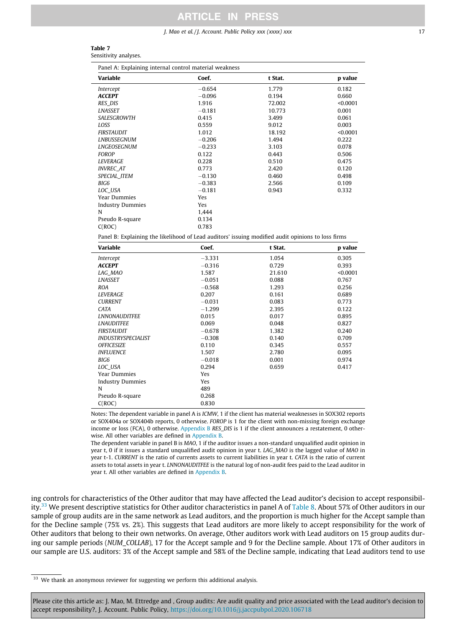#### J. Mao et al. / J. Account. Public Policy xxx (xxxx) xxx 17

<span id="page-16-0"></span>

| Table 7               |  |
|-----------------------|--|
| Sensitivity analyses. |  |

| Panel A: Explaining internal control material weakness                                             |            |         |          |  |  |
|----------------------------------------------------------------------------------------------------|------------|---------|----------|--|--|
| Variable                                                                                           | Coef.      | t Stat. | p value  |  |  |
| Intercept                                                                                          | $-0.654$   | 1.779   | 0.182    |  |  |
| <b>ACCEPT</b>                                                                                      | $-0.096$   | 0.194   | 0.660    |  |  |
| <b>RES DIS</b>                                                                                     | 1.916      | 72.002  | < 0.0001 |  |  |
| <b>LNASSET</b>                                                                                     | $-0.181$   | 10.773  | 0.001    |  |  |
| <b>SALESGROWTH</b>                                                                                 | 0.415      | 3.499   | 0.061    |  |  |
| LOSS                                                                                               | 0.559      | 9.012   | 0.003    |  |  |
| <b>FIRSTAUDIT</b>                                                                                  | 1.012      | 18.192  | < 0.0001 |  |  |
| <b>LNBUSSEGNUM</b>                                                                                 | $-0.206$   | 1.494   | 0.222    |  |  |
| <b>LNGEOSEGNUM</b>                                                                                 | $-0.233$   | 3.103   | 0.078    |  |  |
| <b>FOROP</b>                                                                                       | 0.122      | 0.443   | 0.506    |  |  |
| <b>LEVERAGE</b>                                                                                    | 0.228      | 0.510   | 0.475    |  |  |
| <b>INVREC AT</b>                                                                                   | 0.773      | 2.420   | 0.120    |  |  |
| SPECIAL ITEM                                                                                       | $-0.130$   | 0.460   | 0.498    |  |  |
| BIG6                                                                                               | $-0.383$   | 2.566   | 0.109    |  |  |
| LOC USA                                                                                            | $-0.181$   | 0.943   | 0.332    |  |  |
| <b>Year Dummies</b>                                                                                | <b>Yes</b> |         |          |  |  |
| <b>Industry Dummies</b>                                                                            | <b>Yes</b> |         |          |  |  |
| N                                                                                                  | 1.444      |         |          |  |  |
| Pseudo R-square                                                                                    | 0.134      |         |          |  |  |
| C(ROC)                                                                                             | 0.783      |         |          |  |  |
| Panel B: Explaining the likelihood of Lead auditors' issuing modified audit opinions to loss firms |            |         |          |  |  |
| Variable                                                                                           | Coef.      | t Stat. | p value  |  |  |
| Intercept                                                                                          | $-3.331$   | 1.054   | 0.305    |  |  |
| <b>ACCEPT</b>                                                                                      | $-0.316$   | 0.729   | 0.393    |  |  |

| Intercept                 | $-3.331$ | 1.054  | 0.305    |
|---------------------------|----------|--------|----------|
| <b>ACCEPT</b>             | $-0.316$ | 0.729  | 0.393    |
| LAG MAO                   | 1.587    | 21.610 | < 0.0001 |
| <b>LNASSET</b>            | $-0.051$ | 0.088  | 0.767    |
| <b>ROA</b>                | $-0.568$ | 1.293  | 0.256    |
| <b>LEVERAGE</b>           | 0.207    | 0.161  | 0.689    |
| <b>CURRENT</b>            | $-0.031$ | 0.083  | 0.773    |
| CATA                      | $-1.299$ | 2.395  | 0.122    |
| <b>LNNONAUDITFEE</b>      | 0.015    | 0.017  | 0.895    |
| <b>LNAUDITFEE</b>         | 0.069    | 0.048  | 0.827    |
| <b>FIRSTAUDIT</b>         | $-0.678$ | 1.382  | 0.240    |
| <b>INDUSTRYSPECIALIST</b> | $-0.308$ | 0.140  | 0.709    |
| <b>OFFICESIZE</b>         | 0.110    | 0.345  | 0.557    |
| <b>INFLUENCE</b>          | 1.507    | 2.780  | 0.095    |
| BIG6                      | $-0.018$ | 0.001  | 0.974    |
| LOC USA                   | 0.294    | 0.659  | 0.417    |
| Year Dummies              | Yes      |        |          |
| <b>Industry Dummies</b>   | Yes      |        |          |
| N                         | 489      |        |          |
| Pseudo R-square           | 0.268    |        |          |
| C(ROC)                    | 0.830    |        |          |

Notes: The dependent variable in panel A is ICMW, 1 if the client has material weaknesses in SOX302 reports or SOX404a or SOX404b reports, 0 otherwise. FOROP is 1 for the client with non-missing foreign exchange income or loss (FCA), 0 otherwise. [Appendix B](#page-21-0) RES\_DIS is 1 if the client announces a restatement, 0 otherwise. All other variables are defined in [Appendix B.](#page-21-0)

The dependent variable in panel B is MAO, 1 if the auditor issues a non-standard unqualified audit opinion in year t, 0 if it issues a standard unqualified audit opinion in year t. LAG\_MAO is the lagged value of MAO in year t-1. CURRENT is the ratio of currents assets to current liabilities in year t. CATA is the ratio of current assets to total assets in year t. LNNONAUDITFEE is the natural log of non-audit fees paid to the Lead auditor in year t. All other variables are defined in [Appendix B](#page-21-0).

ing controls for characteristics of the Other auditor that may have affected the Lead auditor's decision to accept responsibil-ity.<sup>33</sup> We present descriptive statistics for Other auditor characteristics in panel A of [Table 8](#page-17-0). About 57% of Other auditors in our sample of group audits are in the same network as Lead auditors, and the proportion is much higher for the Accept sample than for the Decline sample (75% vs. 2%). This suggests that Lead auditors are more likely to accept responsibility for the work of Other auditors that belong to their own networks. On average, Other auditors work with Lead auditors on 15 group audits during our sample periods (NUM\_COLLAB), 17 for the Accept sample and 9 for the Decline sample. About 17% of Other auditors in our sample are U.S. auditors: 3% of the Accept sample and 58% of the Decline sample, indicating that Lead auditors tend to use

<sup>&</sup>lt;sup>33</sup> We thank an anonymous reviewer for suggesting we perform this additional analysis.

Please cite this article as: J. Mao, M. Ettredge and , Group audits: Are audit quality and price associated with the Lead auditor's decision to accept responsibility?, J. Account. Public Policy, <https://doi.org/10.1016/j.jaccpubpol.2020.106718>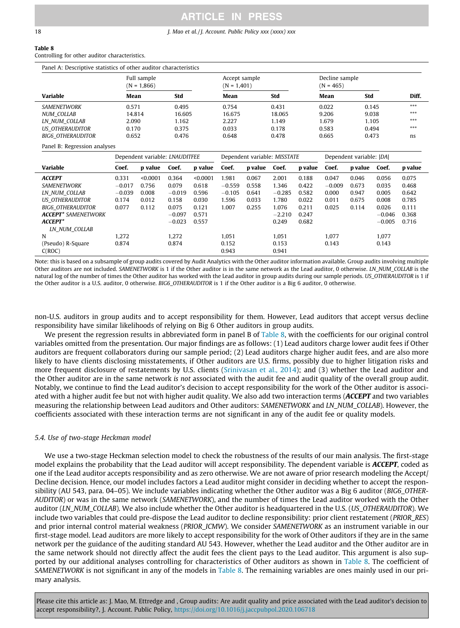#### <span id="page-17-0"></span>18 J. Mao et al. / J. Account. Public Policy xxx (xxxx) xxx

## Table 8

Controlling for other auditor characteristics.

| Panel A: Descriptive statistics of other auditor characteristics |  |
|------------------------------------------------------------------|--|
|------------------------------------------------------------------|--|

| Full sample<br>$(N = 1,866)$ |        |        | Accept sample<br>$(N = 1,401)$ |        | Decline sample<br>$(N = 465)$ |       |       |
|------------------------------|--------|--------|--------------------------------|--------|-------------------------------|-------|-------|
| <b>Variable</b>              | Mean   | Std    | Mean                           | Std    | Mean                          | Std   | Diff. |
| <b>SAMENETWORK</b>           | 0.571  | 0.495  | 0.754                          | 0.431  | 0.022                         | 0.145 | $***$ |
| <b>NUM COLLAB</b>            | 14.814 | 16.605 | 16.675                         | 18.065 | 9.206                         | 9.038 | $***$ |
| LN NUM COLLAB                | 2.090  | 1.162  | 2.227                          | 1.149  | 1.679                         | 1.105 | $***$ |
| <b>US OTHERAUDITOR</b>       | 0.170  | 0.375  | 0.033                          | 0.178  | 0.583                         | 0.494 | $***$ |
| <b>BIGG OTHERAUDITOR</b>     | 0.652  | 0.476  | 0.648                          | 0.478  | 0.665                         | 0.473 | ns    |

Panel B: Regression analyses

|                            |          | Dependent variable: LNAUDITFEE |          |          |          | Dependent variable: MISSTATE |          |         |          | Dependent variable: <i>DA</i> |          |         |
|----------------------------|----------|--------------------------------|----------|----------|----------|------------------------------|----------|---------|----------|-------------------------------|----------|---------|
| Variable                   | Coef.    | p value                        | Coef.    | p value  | Coef.    | p value                      | Coef.    | p value | Coef.    | p value                       | Coef.    | p value |
| <b>ACCEPT</b>              | 0.331    | < 0.0001                       | 0.364    | < 0.0001 | .981     | 0.067                        | 2.001    | 0.188   | 0.047    | 0.046                         | 0.056    | 0.075   |
| <b>SAMENETWORK</b>         | $-0.017$ | 0.756                          | 0.079    | 0.618    | $-0.559$ | 0.558                        | 1.346    | 0.422   | $-0.009$ | 0.673                         | 0.035    | 0.468   |
| LN NUM COLLAB              | $-0.039$ | 0.008                          | $-0.019$ | 0.596    | $-0.105$ | 0.641                        | $-0.285$ | 0.582   | 0.000    | 0.947                         | 0.005    | 0.642   |
| <b>US OTHERAUDITOR</b>     | 0.174    | 0.012                          | 0.158    | 0.030    | 1.596    | 0.033                        | 1.780    | 0.022   | 0.011    | 0.675                         | 0.008    | 0.785   |
| <b>BIGG OTHERAUDITOR</b>   | 0.077    | 0.112                          | 0.075    | 0.121    | 1.007    | 0.255                        | 1.076    | 0.211   | 0.025    | 0.114                         | 0.026    | 0.111   |
| <b>ACCEPT* SAMENETWORK</b> |          |                                | $-0.097$ | 0.571    |          |                              | $-2.210$ | 0.247   |          |                               | $-0.046$ | 0.368   |
| <b>ACCEPT*</b>             |          |                                | $-0.023$ | 0.557    |          |                              | 0.249    | 0.682   |          |                               | $-0.005$ | 0.716   |
| LN NUM COLLAB              |          |                                |          |          |          |                              |          |         |          |                               |          |         |
| N                          | 1.272    |                                | 1.272    |          | 1.051    |                              | 1.051    |         | 1.077    |                               | 1.077    |         |
| (Pseudo) R-Square          | 0.874    |                                | 0.874    |          | 0.152    |                              | 0.153    |         | 0.143    |                               | 0.143    |         |
| C(ROC)                     |          |                                |          |          | 0.943    |                              | 0.941    |         |          |                               |          |         |

Note: this is based on a subsample of group audits covered by Audit Analytics with the Other auditor information available. Group audits involving multiple Other auditors are not included. SAMENETWORK is 1 if the Other auditor is in the same network as the Lead auditor, 0 otherwise. LN\_NUM\_COLLAB is the natural log of the number of times the Other auditor has worked with the Lead auditor in group audits during our sample periods. US\_OTHERAUDITOR is 1 if the Other auditor is a U.S. auditor, 0 otherwise. BIG6 OTHERAUDITOR is 1 if the Other auditor is a Big 6 auditor, 0 otherwise.

non-U.S. auditors in group audits and to accept responsibility for them. However, Lead auditors that accept versus decline responsibility have similar likelihoods of relying on Big 6 Other auditors in group audits.

We present the regression results in abbreviated form in panel B of Table 8, with the coefficients for our original control variables omitted from the presentation. Our major findings are as follows: (1) Lead auditors charge lower audit fees if Other auditors are frequent collaborators during our sample period; (2) Lead auditors charge higher audit fees, and are also more likely to have clients disclosing misstatements, if Other auditors are U.S. firms, possibly due to higher litigation risks and more frequent disclosure of restatements by U.S. clients [\(Srinivasan et al., 2014\)](#page-24-0); and (3) whether the Lead auditor and the Other auditor are in the same network is not associated with the audit fee and audit quality of the overall group audit. Notably, we continue to find the Lead auditor's decision to accept responsibility for the work of the Other auditor is associated with a higher audit fee but not with higher audit quality. We also add two interaction terms (**ACCEPT** and two variables measuring the relationship between Lead auditors and Other auditors: SAMENETWORK and LN\_NUM\_COLLAB). However, the coefficients associated with these interaction terms are not significant in any of the audit fee or quality models.

#### 5.4. Use of two-stage Heckman model

We use a two-stage Heckman selection model to check the robustness of the results of our main analysis. The first-stage model explains the probability that the Lead auditor will accept responsibility. The dependent variable is **ACCEPT**, coded as one if the Lead auditor accepts responsibility and as zero otherwise. We are not aware of prior research modeling the Accept/ Decline decision. Hence, our model includes factors a Lead auditor might consider in deciding whether to accept the responsibility (AU 543, para. 04–05). We include variables indicating whether the Other auditor was a Big 6 auditor (BIG6\_OTHER-AUDITOR) or was in the same network (SAMENETWORK), and the number of times the Lead auditor worked with the Other auditor (LN\_NUM\_COLLAB). We also include whether the Other auditor is headquartered in the U.S. (US\_OTHERAUDITOR). We include two variables that could pre-dispose the Lead auditor to decline responsibility: prior client restatement (PRIOR\_RES) and prior internal control material weakness (PRIOR\_ICMW). We consider SAMENETWORK as an instrument variable in our first-stage model. Lead auditors are more likely to accept responsibility for the work of Other auditors if they are in the same network per the guidance of the auditing standard AU 543. However, whether the Lead auditor and the Other auditor are in the same network should not directly affect the audit fees the client pays to the Lead auditor. This argument is also supported by our additional analyses controlling for characteristics of Other auditors as shown in Table 8. The coefficient of SAMENETWORK is not significant in any of the models in Table 8. The remaining variables are ones mainly used in our primary analysis.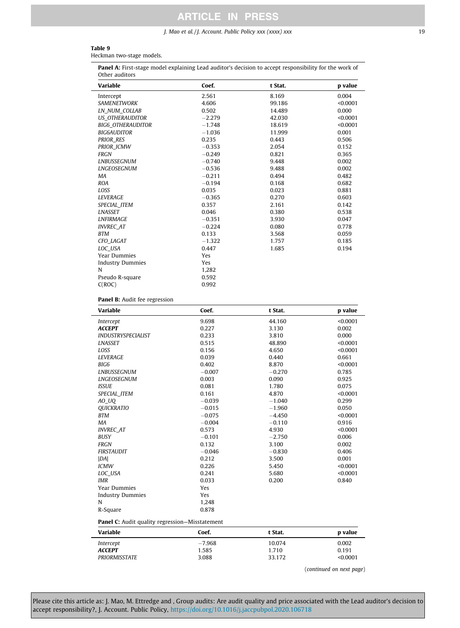#### J. Mao et al. / J. Account. Public Policy xxx (xxxx) xxx 19

#### <span id="page-18-0"></span>Table 9

Ĭ.

Heckman two-stage models.

Panel A: First-stage model explaining Lead auditor's decision to accept responsibility for the work of Other auditors

| <b>Variable</b>          | Coef.    | t Stat. | p value  |
|--------------------------|----------|---------|----------|
| Intercept                | 2.561    | 8.169   | 0.004    |
| <b>SAMENETWORK</b>       | 4.606    | 99.186  | < 0.0001 |
| <b>LN NUM COLLAB</b>     | 0.502    | 14.489  | 0.000    |
| <b>US OTHERAUDITOR</b>   | $-2.279$ | 42.030  | < 0.0001 |
| <b>BIG6 OTHERAUDITOR</b> | $-1.748$ | 18.619  | < 0.0001 |
| <b>BIGGAUDITOR</b>       | $-1.036$ | 11.999  | 0.001    |
| <b>PRIOR RES</b>         | 0.235    | 0.443   | 0.506    |
| <b>PRIOR ICMW</b>        | $-0.353$ | 2.054   | 0.152    |
| <b>FRGN</b>              | $-0.249$ | 0.821   | 0.365    |
| <b>LNBUSSEGNUM</b>       | $-0.740$ | 9.448   | 0.002    |
| <b>LNGEOSEGNUM</b>       | $-0.536$ | 9.488   | 0.002    |
| MA                       | $-0.211$ | 0.494   | 0.482    |
| <b>ROA</b>               | $-0.194$ | 0.168   | 0.682    |
| LOSS                     | 0.035    | 0.023   | 0.881    |
| <b>LEVERAGE</b>          | $-0.365$ | 0.270   | 0.603    |
| <b>SPECIAL ITEM</b>      | 0.357    | 2.161   | 0.142    |
| <b>LNASSET</b>           | 0.046    | 0.380   | 0.538    |
| <b>LNFIRMAGE</b>         | $-0.351$ | 3.930   | 0.047    |
| <b>INVREC AT</b>         | $-0.224$ | 0.080   | 0.778    |
| <b>BTM</b>               | 0.133    | 3.568   | 0.059    |
| CFO LAGAT                | $-1.322$ | 1.757   | 0.185    |
| LOC USA                  | 0.447    | 1.685   | 0.194    |
| <b>Year Dummies</b>      | Yes      |         |          |
| <b>Industry Dummies</b>  | Yes      |         |          |
| N                        | 1,282    |         |          |
| Pseudo R-square          | 0.592    |         |          |
| C(ROC)                   | 0.992    |         |          |

Panel B: Audit fee regression

| <b>Variable</b>                                       | Coef.    | t Stat.  | p value                  |
|-------------------------------------------------------|----------|----------|--------------------------|
| Intercept                                             | 9.698    | 44.160   | < 0.0001                 |
| <b>ACCEPT</b>                                         | 0.227    | 3.130    | 0.002                    |
| <b>INDUSTRYSPECIALIST</b>                             | 0.233    | 3.810    | 0.000                    |
| <b>LNASSET</b>                                        | 0.515    | 48.890   | < 0.0001                 |
| LOSS                                                  | 0.156    | 4.650    | < 0.0001                 |
| <b>LEVERAGE</b>                                       | 0.039    | 0.440    | 0.661                    |
| BIG6                                                  | 0.402    | 8.870    | < 0.0001                 |
| <b>LNBUSSEGNUM</b>                                    | $-0.007$ | $-0.270$ | 0.785                    |
| <b>LNGEOSEGNUM</b>                                    | 0.003    | 0.090    | 0.925                    |
| <b>ISSUE</b>                                          | 0.081    | 1.780    | 0.075                    |
| SPECIAL ITEM                                          | 0.161    | 4.870    | < 0.0001                 |
| AO UQ                                                 | $-0.039$ | $-1.040$ | 0.299                    |
| <b>OUICKRATIO</b>                                     | $-0.015$ | $-1.960$ | 0.050                    |
| <b>BTM</b>                                            | $-0.075$ | $-4.450$ | < 0.0001                 |
| ΜA                                                    | $-0.004$ | $-0.110$ | 0.916                    |
| <b>INVREC AT</b>                                      | 0.573    | 4.930    | < 0.0001                 |
| <b>BUSY</b>                                           | $-0.101$ | $-2,750$ | 0.006                    |
| <b>FRGN</b>                                           | 0.132    | 3.100    | 0.002                    |
| <b>FIRSTAUDIT</b>                                     | $-0.046$ | $-0.830$ | 0.406                    |
| DA                                                    | 0.212    | 3.500    | 0.001                    |
| <b>ICMW</b>                                           | 0.226    | 5.450    | < 0.0001                 |
| LOC USA                                               | 0.241    | 5.680    | < 0.0001                 |
| <b>IMR</b>                                            | 0.033    | 0.200    | 0.840                    |
| Year Dummies                                          | Yes      |          |                          |
| <b>Industry Dummies</b>                               | Yes      |          |                          |
| N                                                     | 1,248    |          |                          |
| R-Square                                              | 0.878    |          |                          |
| <b>Panel C:</b> Audit quality regression-Misstatement |          |          |                          |
| <b>Variable</b>                                       | Coef.    | t Stat.  | p value                  |
| Intercept                                             | $-7.968$ | 10.074   | 0.002                    |
| <b>ACCEPT</b>                                         | 1.585    | 1.710    | 0.191                    |
| <b>PRIORMISSTATE</b>                                  | 3.088    | 33.172   | < 0.0001                 |
|                                                       |          |          | (continued on next page) |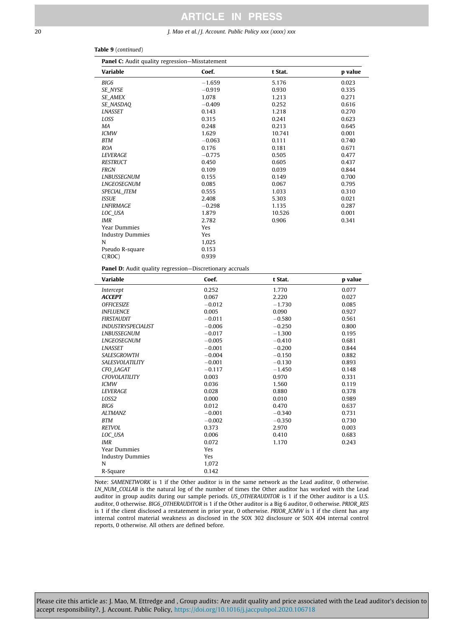#### 20 J. Mao et al. / J. Account. Public Policy xxx (xxxx) xxx

#### Table 9 (continued)

| <b>Panel C:</b> Audit quality regression-Misstatement |          |         |         |  |  |
|-------------------------------------------------------|----------|---------|---------|--|--|
| Variable                                              | Coef.    | t Stat. | p value |  |  |
| BIG6                                                  | $-1.659$ | 5.176   | 0.023   |  |  |
| SE NYSE                                               | $-0.919$ | 0.930   | 0.335   |  |  |
| <b>SE AMEX</b>                                        | 1.078    | 1.213   | 0.271   |  |  |
| SE NASDAO                                             | $-0.409$ | 0.252   | 0.616   |  |  |
| <b>LNASSET</b>                                        | 0.143    | 1.218   | 0.270   |  |  |
| LOSS                                                  | 0.315    | 0.241   | 0.623   |  |  |
| MA                                                    | 0.248    | 0.213   | 0.645   |  |  |
| <b>ICMW</b>                                           | 1.629    | 10.741  | 0.001   |  |  |
| <b>BTM</b>                                            | $-0.063$ | 0.111   | 0.740   |  |  |
| <b>ROA</b>                                            | 0.176    | 0.181   | 0.671   |  |  |
| <b>LEVERAGE</b>                                       | $-0.775$ | 0.505   | 0.477   |  |  |
| <b>RESTRUCT</b>                                       | 0.450    | 0.605   | 0.437   |  |  |
| <b>FRGN</b>                                           | 0.109    | 0.039   | 0.844   |  |  |
| <b>LNBUSSEGNUM</b>                                    | 0.155    | 0.149   | 0.700   |  |  |
| <b>LNGEOSEGNUM</b>                                    | 0.085    | 0.067   | 0.795   |  |  |
| SPECIAL ITEM                                          | 0.555    | 1.033   | 0.310   |  |  |
| <b>ISSUE</b>                                          | 2.408    | 5.303   | 0.021   |  |  |
| <b>LNFIRMAGE</b>                                      | $-0.298$ | 1.135   | 0.287   |  |  |
| LOC USA                                               | 1.879    | 10.526  | 0.001   |  |  |
| <b>IMR</b>                                            | 2.782    | 0.906   | 0.341   |  |  |
| <b>Year Dummies</b>                                   | Yes      |         |         |  |  |
| <b>Industry Dummies</b>                               | Yes      |         |         |  |  |
| N                                                     | 1,025    |         |         |  |  |
| Pseudo R-square                                       | 0.153    |         |         |  |  |
| C(ROC)                                                | 0.939    |         |         |  |  |

Panel D: Audit quality regression-Discretionary accruals

| Variable                  | Coef.    | t Stat.  | p value |
|---------------------------|----------|----------|---------|
| Intercept                 | 0.252    | 1.770    | 0.077   |
| <b>ACCEPT</b>             | 0.067    | 2.220    | 0.027   |
| <b>OFFICESIZE</b>         | $-0.012$ | $-1.730$ | 0.085   |
| <b>INFLUENCE</b>          | 0.005    | 0.090    | 0.927   |
| <b>FIRSTAUDIT</b>         | $-0.011$ | $-0.580$ | 0.561   |
| <b>INDUSTRYSPECIALIST</b> | $-0.006$ | $-0.250$ | 0.800   |
| <b>LNBUSSEGNUM</b>        | $-0.017$ | $-1.300$ | 0.195   |
| <b>LNGEOSEGNUM</b>        | $-0.005$ | $-0.410$ | 0.681   |
| <b>LNASSET</b>            | $-0.001$ | $-0.200$ | 0.844   |
| <b>SALESGROWTH</b>        | $-0.004$ | $-0.150$ | 0.882   |
| <b>SALESVOLATILITY</b>    | $-0.001$ | $-0.130$ | 0.893   |
| <b>CFO LAGAT</b>          | $-0.117$ | $-1.450$ | 0.148   |
| <b>CFOVOLATILITY</b>      | 0.003    | 0.970    | 0.331   |
| <b>ICMW</b>               | 0.036    | 1.560    | 0.119   |
| <b>LEVERAGE</b>           | 0.028    | 0.880    | 0.378   |
| LOSS <sub>2</sub>         | 0.000    | 0.010    | 0.989   |
| BIG6                      | 0.012    | 0.470    | 0.637   |
| <b>ALTMANZ</b>            | $-0.001$ | $-0.340$ | 0.731   |
| <b>BTM</b>                | $-0.002$ | $-0.350$ | 0.730   |
| <b>RETVOL</b>             | 0.373    | 2.970    | 0.003   |
| LOC USA                   | 0.006    | 0.410    | 0.683   |
| <b>IMR</b>                | 0.072    | 1.170    | 0.243   |
| <b>Year Dummies</b>       | Yes      |          |         |
| <b>Industry Dummies</b>   | Yes      |          |         |
| N                         | 1,072    |          |         |
| R-Square                  | 0.142    |          |         |

Note: SAMENETWORK is 1 if the Other auditor is in the same network as the Lead auditor, 0 otherwise. LN\_NUM\_COLLAB is the natural log of the number of times the Other auditor has worked with the Lead auditor in group audits during our sample periods. US\_OTHERAUDITOR is 1 if the Other auditor is a U.S. auditor, 0 otherwise. BIG6\_OTHERAUDITOR is 1 if the Other auditor is a Big 6 auditor, 0 otherwise. PRIOR\_RES is 1 if the client disclosed a restatement in prior year, 0 otherwise. PRIOR\_ICMW is 1 if the client has any internal control material weakness as disclosed in the SOX 302 disclosure or SOX 404 internal control reports, 0 otherwise. All others are defined before.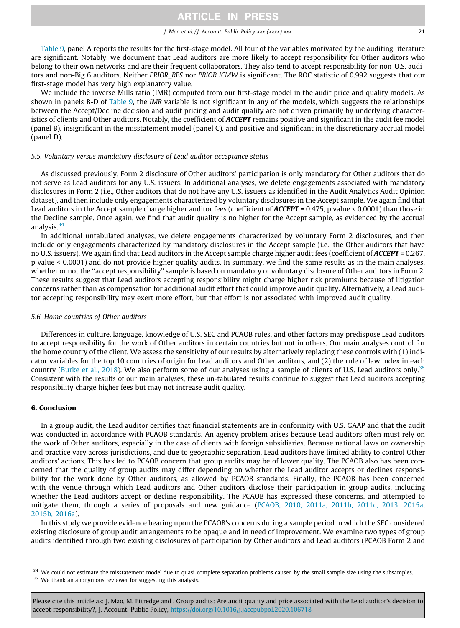#### J. Mao et al. / J. Account. Public Policy xxx (xxxx) xxx 21

<span id="page-20-0"></span>[Table 9,](#page-18-0) panel A reports the results for the first-stage model. All four of the variables motivated by the auditing literature are significant. Notably, we document that Lead auditors are more likely to accept responsibility for Other auditors who belong to their own networks and are their frequent collaborators. They also tend to accept responsibility for non-U.S. auditors and non-Big 6 auditors. Neither PRIOR\_RES nor PRIOR ICMW is significant. The ROC statistic of 0.992 suggests that our first-stage model has very high explanatory value.

We include the inverse Mills ratio (IMR) computed from our first-stage model in the audit price and quality models. As shown in panels B-D of [Table 9](#page-18-0), the IMR variable is not significant in any of the models, which suggests the relationships between the Accept/Decline decision and audit pricing and audit quality are not driven primarily by underlying characteristics of clients and Other auditors. Notably, the coefficient of **ACCEPT** remains positive and significant in the audit fee model (panel B), insignificant in the misstatement model (panel C), and positive and significant in the discretionary accrual model (panel D).

#### 5.5. Voluntary versus mandatory disclosure of Lead auditor acceptance status

As discussed previously, Form 2 disclosure of Other auditors' participation is only mandatory for Other auditors that do not serve as Lead auditors for any U.S. issuers. In additional analyses, we delete engagements associated with mandatory disclosures in Form 2 (i.e., Other auditors that do not have any U.S. issuers as identified in the Audit Analytics Audit Opinion dataset), and then include only engagements characterized by voluntary disclosures in the Accept sample. We again find that Lead auditors in the Accept sample charge higher auditor fees (coefficient of  $ACCEPT = 0.475$ , p value < 0.0001) than those in the Decline sample. Once again, we find that audit quality is no higher for the Accept sample, as evidenced by the accrual analysis.<sup>34</sup>

In additional untabulated analyses, we delete engagements characterized by voluntary Form 2 disclosures, and then include only engagements characterized by mandatory disclosures in the Accept sample (i.e., the Other auditors that have no U.S. issuers). We again find that Lead auditors in the Accept sample charge higher audit fees (coefficient of ACCEPT = 0.267, p value < 0.0001) and do not provide higher quality audits. In summary, we find the same results as in the main analyses, whether or not the "accept responsibility" sample is based on mandatory or voluntary disclosure of Other auditors in Form 2. These results suggest that Lead auditors accepting responsibility might charge higher risk premiums because of litigation concerns rather than as compensation for additional audit effort that could improve audit quality. Alternatively, a Lead auditor accepting responsibility may exert more effort, but that effort is not associated with improved audit quality.

#### 5.6. Home countries of Other auditors

Differences in culture, language, knowledge of U.S. SEC and PCAOB rules, and other factors may predispose Lead auditors to accept responsibility for the work of Other auditors in certain countries but not in others. Our main analyses control for the home country of the client. We assess the sensitivity of our results by alternatively replacing these controls with (1) indicator variables for the top 10 countries of origin for Lead auditors and Other auditors, and (2) the rule of law index in each country [\(Burke et al., 2018](#page-23-0)). We also perform some of our analyses using a sample of clients of U.S. Lead auditors only.<sup>35</sup> Consistent with the results of our main analyses, these un-tabulated results continue to suggest that Lead auditors accepting responsibility charge higher fees but may not increase audit quality.

#### 6. Conclusion

In a group audit, the Lead auditor certifies that financial statements are in conformity with U.S. GAAP and that the audit was conducted in accordance with PCAOB standards. An agency problem arises because Lead auditors often must rely on the work of Other auditors, especially in the case of clients with foreign subsidiaries. Because national laws on ownership and practice vary across jurisdictions, and due to geographic separation, Lead auditors have limited ability to control Other auditors' actions. This has led to PCAOB concern that group audits may be of lower quality. The PCAOB also has been concerned that the quality of group audits may differ depending on whether the Lead auditor accepts or declines responsibility for the work done by Other auditors, as allowed by PCAOB standards. Finally, the PCAOB has been concerned with the venue through which Lead auditors and Other auditors disclose their participation in group audits, including whether the Lead auditors accept or decline responsibility. The PCAOB has expressed these concerns, and attempted to mitigate them, through a series of proposals and new guidance ([PCAOB, 2010, 2011a, 2011b, 2011c, 2013, 2015a,](#page-23-0) [2015b, 2016a\)](#page-23-0).

In this study we provide evidence bearing upon the PCAOB's concerns during a sample period in which the SEC considered existing disclosure of group audit arrangements to be opaque and in need of improvement. We examine two types of group audits identified through two existing disclosures of participation by Other auditors and Lead auditors (PCAOB Form 2 and

<sup>&</sup>lt;sup>34</sup> We could not estimate the misstatement model due to quasi-complete separation problems caused by the small sample size using the subsamples.

<sup>&</sup>lt;sup>35</sup> We thank an anonymous reviewer for suggesting this analysis.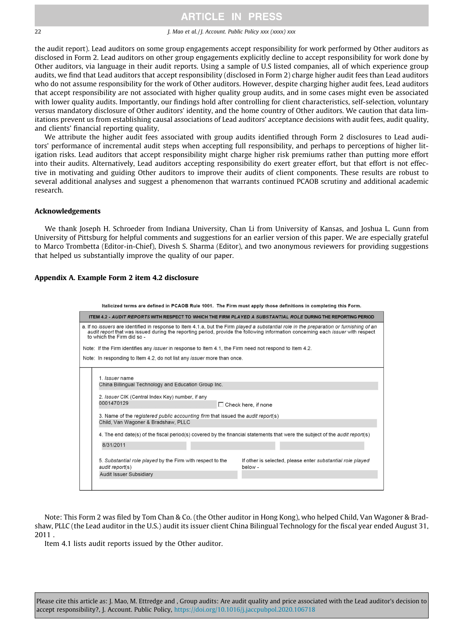#### <span id="page-21-0"></span>22 J. Mao et al. / J. Account. Public Policy xxx (xxxx) xxx

the audit report). Lead auditors on some group engagements accept responsibility for work performed by Other auditors as disclosed in Form 2. Lead auditors on other group engagements explicitly decline to accept responsibility for work done by Other auditors, via language in their audit reports. Using a sample of U.S listed companies, all of which experience group audits, we find that Lead auditors that accept responsibility (disclosed in Form 2) charge higher audit fees than Lead auditors who do not assume responsibility for the work of Other auditors. However, despite charging higher audit fees, Lead auditors that accept responsibility are not associated with higher quality group audits, and in some cases might even be associated with lower quality audits. Importantly, our findings hold after controlling for client characteristics, self-selection, voluntary versus mandatory disclosure of Other auditors' identity, and the home country of Other auditors. We caution that data limitations prevent us from establishing causal associations of Lead auditors' acceptance decisions with audit fees, audit quality, and clients' financial reporting quality,

We attribute the higher audit fees associated with group audits identified through Form 2 disclosures to Lead auditors' performance of incremental audit steps when accepting full responsibility, and perhaps to perceptions of higher litigation risks. Lead auditors that accept responsibility might charge higher risk premiums rather than putting more effort into their audits. Alternatively, Lead auditors accepting responsibility do exert greater effort, but that effort is not effective in motivating and guiding Other auditors to improve their audits of client components. These results are robust to several additional analyses and suggest a phenomenon that warrants continued PCAOB scrutiny and additional academic research.

#### Acknowledgements

We thank Joseph H. Schroeder from Indiana University, Chan Li from University of Kansas, and Joshua L. Gunn from University of Pittsburg for helpful comments and suggestions for an earlier version of this paper. We are especially grateful to Marco Trombetta (Editor-in-Chief), Divesh S. Sharma (Editor), and two anonymous reviewers for providing suggestions that helped us substantially improve the quality of our paper.

#### Appendix A. Example Form 2 item 4.2 disclosure

|                                                                                                                         | Italicized terms are defined in PCAOB Rule 1001. The Firm must apply those definitions in completing this Form.                                                                                                                                                             |  |  |  |
|-------------------------------------------------------------------------------------------------------------------------|-----------------------------------------------------------------------------------------------------------------------------------------------------------------------------------------------------------------------------------------------------------------------------|--|--|--|
|                                                                                                                         | ITEM 4.2 - AUDIT REPORTS WITH RESPECT TO WHICH THE FIRM PLAYED A SUBSTANTIAL ROLE DURING THE REPORTING PERIOD                                                                                                                                                               |  |  |  |
| to which the Firm did so -                                                                                              | a. If no issuers are identified in response to Item 4.1.a, but the Firm played a substantial role in the preparation or furnishing of an<br>audit report that was issued during the reporting period, provide the following information concerning each issuer with respect |  |  |  |
| Note: If the Firm identifies any <i>issuer</i> in response to Item 4.1, the Firm need not respond to Item 4.2.          |                                                                                                                                                                                                                                                                             |  |  |  |
| Note: In responding to Item 4.2, do not list any <i>issuer</i> more than once.                                          |                                                                                                                                                                                                                                                                             |  |  |  |
|                                                                                                                         |                                                                                                                                                                                                                                                                             |  |  |  |
| 1. Issuer name<br>China Billingual Technology and Education Group Inc.                                                  |                                                                                                                                                                                                                                                                             |  |  |  |
|                                                                                                                         |                                                                                                                                                                                                                                                                             |  |  |  |
| 2. Issuer CIK (Central Index Key) number, if any<br>0001470129                                                          | $\Box$ Check here, if none                                                                                                                                                                                                                                                  |  |  |  |
| 3. Name of the registered public accounting firm that issued the audit report(s)<br>Child, Van Wagoner & Bradshaw, PLLC |                                                                                                                                                                                                                                                                             |  |  |  |
|                                                                                                                         | 4. The end date(s) of the fiscal period(s) covered by the financial statements that were the subject of the audit report(s)                                                                                                                                                 |  |  |  |
| 8/31/2011                                                                                                               |                                                                                                                                                                                                                                                                             |  |  |  |
| 5. Substantial role played by the Firm with respect to the<br>audit report(s)                                           | If other is selected, please enter substantial role played<br>below -                                                                                                                                                                                                       |  |  |  |
| <b>Audit Issuer Subsidiary</b>                                                                                          |                                                                                                                                                                                                                                                                             |  |  |  |

Note: This Form 2 was filed by Tom Chan & Co. (the Other auditor in Hong Kong), who helped Child, Van Wagoner & Bradshaw, PLLC (the Lead auditor in the U.S.) audit its issuer client China Bilingual Technology for the fiscal year ended August 31, 2011 .

Item 4.1 lists audit reports issued by the Other auditor.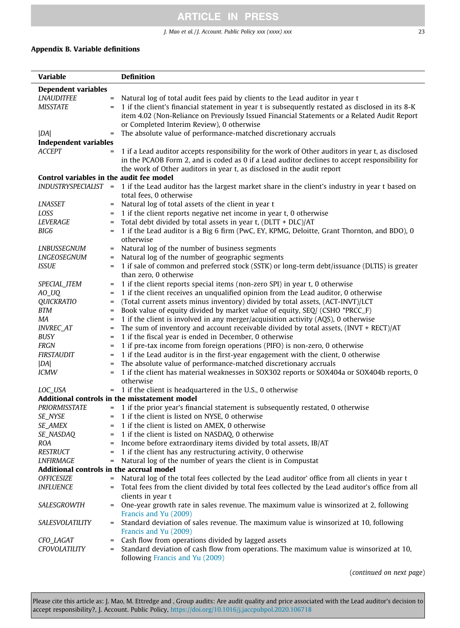## J. Mao et al. / J. Account. Public Policy xxx (xxxx) xxx 23

## Appendix B. Variable definitions

| Variable                                 | <b>Definition</b>                                                                                                                                                                |
|------------------------------------------|----------------------------------------------------------------------------------------------------------------------------------------------------------------------------------|
| <b>Dependent variables</b>               |                                                                                                                                                                                  |
| <b>LNAUDITFEE</b>                        | = Natural log of total audit fees paid by clients to the Lead auditor in year t                                                                                                  |
| <b>MISSTATE</b>                          | = 1 if the client's financial statement in year t is subsequently restated as disclosed in its 8-K                                                                               |
|                                          | item 4.02 (Non-Reliance on Previously Issued Financial Statements or a Related Audit Report                                                                                      |
|                                          | or Completed Interim Review), 0 otherwise                                                                                                                                        |
| DA                                       | The absolute value of performance-matched discretionary accruals<br>$=$                                                                                                          |
| <b>Independent variables</b>             |                                                                                                                                                                                  |
| <b>ACCEPT</b>                            | = 1 if a Lead auditor accepts responsibility for the work of Other auditors in year t, as disclosed                                                                              |
|                                          | in the PCAOB Form 2, and is coded as 0 if a Lead auditor declines to accept responsibility for                                                                                   |
|                                          | the work of Other auditors in year t, as disclosed in the audit report                                                                                                           |
| Control variables in the audit fee model |                                                                                                                                                                                  |
|                                          | $INDUSTRYSPECIALIST = 1$ if the Lead auditor has the largest market share in the client's industry in year t based on                                                            |
|                                          | total fees, 0 otherwise                                                                                                                                                          |
| LNASSET                                  | = Natural log of total assets of the client in year t                                                                                                                            |
| LOSS                                     | $= 1$ if the client reports negative net income in year t, 0 otherwise                                                                                                           |
| <b>LEVERAGE</b>                          | = Total debt divided by total assets in year t, (DLTT + DLC)/AT                                                                                                                  |
| BIG6                                     | = 1 if the Lead auditor is a Big 6 firm (PwC, EY, KPMG, Deloitte, Grant Thornton, and BDO), 0                                                                                    |
|                                          | otherwise                                                                                                                                                                        |
| <i><b>LNBUSSEGNUM</b></i>                | = Natural log of the number of business segments                                                                                                                                 |
| LNGEOSEGNUM                              | = Natural log of the number of geographic segments                                                                                                                               |
| <b>ISSUE</b>                             | = 1 if sale of common and preferred stock (SSTK) or long-term debt/issuance (DLTIS) is greater                                                                                   |
|                                          | than zero, 0 otherwise                                                                                                                                                           |
| SPECIAL_ITEM                             | 1 if the client reports special items (non-zero SPI) in year t, 0 otherwise<br>$=$                                                                                               |
| $AO$ $UQ$                                | 1 if the client receives an unqualified opinion from the Lead auditor, 0 otherwise<br>$=$                                                                                        |
| <b>QUICKRATIO</b>                        | (Total current assets minus inventory) divided by total assets, (ACT-INVT)/LCT<br>$=$                                                                                            |
| BTM                                      | = Book value of equity divided by market value of equity, SEQ/ (CSHO *PRCC_F)                                                                                                    |
| ΜA                                       | $=$ 1 if the client is involved in any merger/acquisition activity (AQS), 0 otherwise<br>The sum of inventory and account receivable divided by total assets, $(INVT + RECT)/AT$ |
| <b>INVREC_AT</b><br>BUSY                 | $=$<br>= 1 if the fiscal year is ended in December, 0 otherwise                                                                                                                  |
| <b>FRGN</b>                              | = 1 if pre-tax income from foreign operations (PIFO) is non-zero, 0 otherwise                                                                                                    |
| <b>FIRSTAUDIT</b>                        | $=$ 1 if the Lead auditor is in the first-year engagement with the client, 0 otherwise                                                                                           |
| DA                                       | The absolute value of performance-matched discretionary accruals<br>$=$                                                                                                          |
| ICMW                                     | = 1 if the client has material weaknesses in SOX302 reports or SOX404a or SOX404b reports, 0                                                                                     |
|                                          | otherwise                                                                                                                                                                        |
| LOC_USA                                  | = 1 if the client is headquartered in the U.S., 0 otherwise                                                                                                                      |
|                                          | Additional controls in the misstatement model                                                                                                                                    |
| PRIORMISSTATE                            | = 1 if the prior year's financial statement is subsequently restated, 0 otherwise                                                                                                |
| SE_NYSE                                  | = 1 if the client is listed on NYSE, 0 otherwise                                                                                                                                 |
| SE_AMEX                                  | = 1 if the client is listed on AMEX, 0 otherwise                                                                                                                                 |
| SE_NASDAQ                                | = 1 if the client is listed on NASDAQ, 0 otherwise                                                                                                                               |
| <b>ROA</b>                               | = Income before extraordinary items divided by total assets, IB/AT                                                                                                               |
| <b>RESTRUCT</b>                          | $=$ 1 if the client has any restructuring activity, 0 otherwise                                                                                                                  |
| LNFIRMAGE                                | = Natural log of the number of years the client is in Compustat                                                                                                                  |
| Additional controls in the accrual model |                                                                                                                                                                                  |
| <b>OFFICESIZE</b>                        | Natural log of the total fees collected by the Lead auditor' office from all clients in year t<br>$=$                                                                            |
| <b>INFLUENCE</b>                         | = Total fees from the client divided by total fees collected by the Lead auditor's office from all                                                                               |
|                                          | clients in year t                                                                                                                                                                |
| SALESGROWTH                              | = One-year growth rate in sales revenue. The maximum value is winsorized at 2, following                                                                                         |
|                                          | Francis and Yu (2009)                                                                                                                                                            |
| SALESVOLATILITY                          | Standard deviation of sales revenue. The maximum value is winsorized at 10, following                                                                                            |
|                                          | Francis and Yu (2009)                                                                                                                                                            |
| CFO_LAGAT                                | Cash flow from operations divided by lagged assets                                                                                                                               |
| CFOVOLATILITY                            | Standard deviation of cash flow from operations. The maximum value is winsorized at 10,<br>$=$                                                                                   |
|                                          | following Francis and Yu (2009)                                                                                                                                                  |

(continued on next page)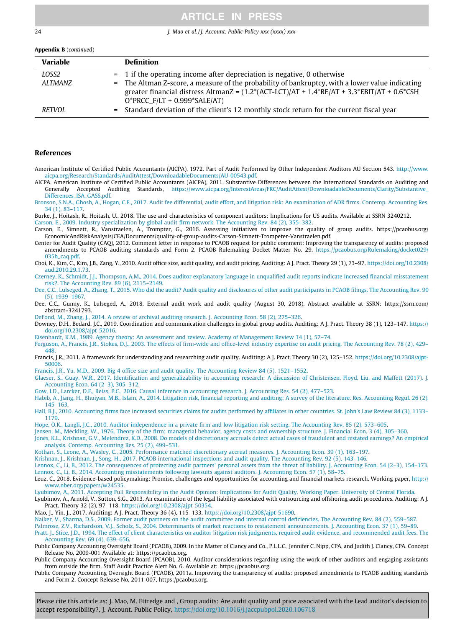<span id="page-23-0"></span>24 J. Mao et al. / J. Account. Public Policy xxx (xxxx) xxx

#### Appendix B (continued)

| Variable      | <b>Definition</b>                                                                                                                                                                                 |
|---------------|---------------------------------------------------------------------------------------------------------------------------------------------------------------------------------------------------|
| LOSS2         | $=$ 1 if the operating income after depreciation is negative, 0 otherwise                                                                                                                         |
| ALTMANZ       | $=$ The Altman Z-score, a measure of the probability of bankruptcy, with a lower value indicating<br>greater financial distress AltmanZ = $(1.2*(ACT-LCT)/AT + 1.4*RE/AT + 3.3*EBIT/AT + 0.6*CSH$ |
|               | $O*PRCC_F/LT + 0.999*SALE/AT)$                                                                                                                                                                    |
| <b>RETVOL</b> | = Standard deviation of the client's 12 monthly stock return for the current fiscal year                                                                                                          |

#### References

- American Institute of Certified Public Accountants (AICPA), 1972. Part of Audit Performed by Other Independent Auditors AU Section 543. [http://www.](http://www.aicpa.org/Research/Standards/AuditAttest/DownloadableDocuments/AU-00543.pdf) [aicpa.org/Research/Standards/AuditAttest/DownloadableDocuments/AU-00543.pdf](http://www.aicpa.org/Research/Standards/AuditAttest/DownloadableDocuments/AU-00543.pdf).
- AICPA. American Institute of Certified Public Accountants (AICPA), 2011. Substantive Differences between the International Standards on Auditing and Generally Accepted Auditing Standards, [https://www.aicpa.org/InterestAreas/FRC/AuditAttest/DownloadableDocuments/Clarity/Substantive\\_](https://www.aicpa.org/InterestAreas/FRC/AuditAttest/DownloadableDocuments/Clarity/Substantive_Differences_ISA_GASS.pdf) [Differences\\_ISA\\_GASS.pdf.](https://www.aicpa.org/InterestAreas/FRC/AuditAttest/DownloadableDocuments/Clarity/Substantive_Differences_ISA_GASS.pdf)

[Bronson, S.N.A., Ghosh, A., Hogan, C.E., 2017. Audit fee differential, audit effort, and litigation risk: An examination of ADR firms. Contemp. Accounting Res.](http://refhub.elsevier.com/S0278-4254(18)30195-9/h0015) [34 \(1\), 83–117](http://refhub.elsevier.com/S0278-4254(18)30195-9/h0015).

Burke, J., Hoitash, R., Hoitash, U., 2018. The use and characteristics of component auditors: Implications for US audits. Available at SSRN 3240212.

- [Carson, E., 2009. Industry specialization by global audit firm network. The Accounting Rev. 84 \(2\), 355–382](http://refhub.elsevier.com/S0278-4254(18)30195-9/h0025).<br>Carson, E., Simnett, R., Vanstraelen, A., Trompter, G., 2016. Assessing initiatives to improve the quality of gro EconomicAndRiskAnalysis/CEA/Documents/quality-of-group-audits-Carson-Simnett-Trompeter-Vanstraelen.pdf.
- Center for Audit Quality (CAQ), 2012. Comment letter in response to PCAOB request for public comment: Improving the transparency of audits: proposed amendments to PCAOB auditing standards and Form 2, PCAOB Rulemaking Docket Matter No. 29. [https://pcaobus.org/Rulemaking/docket029/](https://pcaobus.org/Rulemaking/docket029/035b_caq.pdf) [035b\\_caq.pdf](https://pcaobus.org/Rulemaking/docket029/035b_caq.pdf).

Choi, K., Kim, C., Kim, J.B., Zang, Y., 2010. Audit office size, audit quality, and audit pricing. Auditing: A J. Pract. Theory 29 (1), 73–97. [https://doi.org/10.2308/](https://doi.org/10.2308/aud.2010.29.1.73) [aud.2010.29.1.73.](https://doi.org/10.2308/aud.2010.29.1.73)

[Czerney, K., Schmidt, J.J., Thompson, A.M., 2014. Does auditor explanatory language in unqualified audit reports indicate increased financial misstatement](http://refhub.elsevier.com/S0278-4254(18)30195-9/h0045) [risk?. The Accounting Rev. 89 \(6\), 2115–2149.](http://refhub.elsevier.com/S0278-4254(18)30195-9/h0045)

[Dee, C.C., Lulseged, A., Zhang, T., 2015. Who did the audit? Audit quality and disclosures of other audit participants in PCAOB filings. The Accounting](http://refhub.elsevier.com/S0278-4254(18)30195-9/h0050) Rev. 90 [\(5\), 1939–1967.](http://refhub.elsevier.com/S0278-4254(18)30195-9/h0050)

Dee, C.C., Gunny, K., Lulseged, A., 2018. External audit work and audit quality (August 30, 2018). Abstract available at SSRN: https://ssrn.com/ abstract=3241793.

[DeFond, M., Zhang, J., 2014. A review of archival auditing research. J. Accounting Econ. 58 \(2\), 275–326](http://refhub.elsevier.com/S0278-4254(18)30195-9/h0060).

Downey, D.H., Bedard, J.C., 2019. Coordination and communication challenges in global group audits. Auditing: A J. Pract. Theory 38 (1), 123–147. [https://](https://doi.org/10.2308/ajpt-52016) [doi.org/10.2308/ajpt-52016](https://doi.org/10.2308/ajpt-52016).

[Eisenhardt, K.M., 1989. Agency theory: An assessment and review. Academy of Management Review 14 \(1\), 57–74](http://refhub.elsevier.com/S0278-4254(18)30195-9/h0070).

[Ferguson, A., Francis, J.R., Stokes, D.J., 2003. The effects of firm-wide and office-level industry expertise on audit pricing. The Accounting Rev. 78](http://refhub.elsevier.com/S0278-4254(18)30195-9/h0075) (2), 429– [448.](http://refhub.elsevier.com/S0278-4254(18)30195-9/h0075)

Francis, J.R., 2011. A framework for understanding and researching audit quality. Auditing: A J. Pract. Theory 30 (2), 125–152. [https://doi.org/10.2308/ajpt-](https://doi.org/10.2308/ajpt-50006)[50006.](https://doi.org/10.2308/ajpt-50006)

[Francis, J.R., Yu, M.D., 2009. Big 4 office size and audit quality. The Accounting Review 84 \(5\), 1521–1552.](http://refhub.elsevier.com/S0278-4254(18)30195-9/h0085)

[Glaeser, S., Guay, W.R., 2017. Identification and generalizability in accounting research: A discussion of Christensen, Floyd, Liu, and Maffett \(2017\). J.](http://refhub.elsevier.com/S0278-4254(18)30195-9/h0090) [Accounting Econ. 64 \(2–3\), 305–312.](http://refhub.elsevier.com/S0278-4254(18)30195-9/h0090)

[Gow, I.D., Larcker, D.F., Reiss, P.C., 2016. Causal inference in accounting research. J. Accounting Res. 54 \(2\), 477–523](http://refhub.elsevier.com/S0278-4254(18)30195-9/h0095).

[Habib, A., Jiang, H., Bhuiyan, M.B., Islam, A., 2014. Litigation risk, financial reporting and auditing: A survey of the literature. Res. Accounting Regul. 26 \(2\),](http://refhub.elsevier.com/S0278-4254(18)30195-9/h0100) [145–163.](http://refhub.elsevier.com/S0278-4254(18)30195-9/h0100)

[Hall, B.J., 2010. Accounting firms face increased securities claims for audits performed by affiliates in other countries. St. John's Law Review 84 \(3\), 1133–](http://refhub.elsevier.com/S0278-4254(18)30195-9/h0105) [1179](http://refhub.elsevier.com/S0278-4254(18)30195-9/h0105).

[Hope, O.K., Langli, J.C., 2010. Auditor independence in a private firm and low litigation risk setting. The Accounting Rev. 85 \(2\), 573–605.](http://refhub.elsevier.com/S0278-4254(18)30195-9/h0110)

[Jensen, M., Meckling, W., 1976. Theory of the firm: managerial behavior, agency costs and ownership structure. J. Financial Econ. 3 \(4\), 305–360.](http://refhub.elsevier.com/S0278-4254(18)30195-9/h0115)

[Jones, K.L., Krishnan, G.V., Melendrez, K.D., 2008. Do models of discretionary accruals detect actual cases of fraudulent and restated earnings? An](http://refhub.elsevier.com/S0278-4254(18)30195-9/h0120) empirical [analysis. Contemp. Accounting Res. 25 \(2\), 499–531](http://refhub.elsevier.com/S0278-4254(18)30195-9/h0120).

[Kothari, S., Leone, A., Wasley, C., 2005. Performance matched discretionary accrual measures. J. Accounting Econ. 39 \(1\), 163–197](http://refhub.elsevier.com/S0278-4254(18)30195-9/h0125).

[Krishnan, J., Krishnan, J., Song, H., 2017. PCAOB international inspections and audit quality. The Accounting Rev. 92 \(5\), 143–146.](http://refhub.elsevier.com/S0278-4254(18)30195-9/h0130)

[Lennox, C., Li, B., 2012. The consequences of protecting audit partners' personal assets from the threat of liability. J. Accounting Econ. 54 \(2–3\), 154–173.](http://refhub.elsevier.com/S0278-4254(18)30195-9/h0135) [Lennox, C., Li, B., 2014. Accounting misstatements following lawsuits against auditors. J. Accounting Econ. 57 \(1\), 58–75](http://refhub.elsevier.com/S0278-4254(18)30195-9/h0140).

Leuz, C., 2018. Evidence-based policymaking: Promise, challenges and opportunities for accounting and financial markets research. Working paper, [http://](http://www.nber.org/papers/w24535) [www.nber.org/papers/w24535](http://www.nber.org/papers/w24535).

[Lyubimov, A., 2011. Accepting Full Responsibility in the Audit Opinion: Implications for Audit Quality. Working Paper. University of Central Florida.](http://refhub.elsevier.com/S0278-4254(18)30195-9/h0150)

Lyubimov, A., Arnold, V., Sutton, S.G., 2013. An examination of the legal liability associated with outsourcing and offshoring audit procedures. Auditing: A J. Pract. Theory 32 (2), 97–118. [https://doi.org/10.2308/ajpt-50354.](https://doi.org/10.2308/ajpt-50354)

Mao, J., Yin, J., 2017. Auditing: A J. Pract. Theory 36 (4), 115–133. <https://doi.org/10.2308/ajpt-51690>.

[Naiker, V., Sharma, D.S., 2009. Former audit partners on the audit committee and internal control deficiencies. The Accounting Rev. 84 \(2\), 559–587.](http://refhub.elsevier.com/S0278-4254(18)30195-9/h0165)

[Palmrose, Z.V., Richardson, V.J., Scholz, S., 2004. Determinants of market reactions to restatement announcements. J. Accounting Econ. 37 \(1\), 59–89.](http://refhub.elsevier.com/S0278-4254(18)30195-9/h0170)

[Pratt, J., Stice, J.D., 1994. The effect of client characteristics on auditor litigation risk judgments, required audit evidence, and recommended audit fees. The](http://refhub.elsevier.com/S0278-4254(18)30195-9/h0175) [Accounting Rev. 69 \(4\), 639–656.](http://refhub.elsevier.com/S0278-4254(18)30195-9/h0175)

Public Company Accounting Oversight Board (PCAOB), 2009. In the Matter of Clancy and Co., P.L.L.C., Jennifer C. Nipp, CPA, and Judith J. Clancy, CPA. Concept Release No, 2009-001 Available at: https://pcaobus.org.

Public Company Accounting Oversight Board (PCAOB), 2010. Auditor considerations regarding using the work of other auditors and engaging assistants from outside the firm. Staff Audit Practice Alert No. 6. Available at: https://pcaobus.org.

Public Company Accounting Oversight Board (PCAOB), 2011a. Improving the transparency of audits: proposed amendments to PCAOB auditing standards and Form 2. Concept Release No, 2011-007, https:/pcaobus.org.